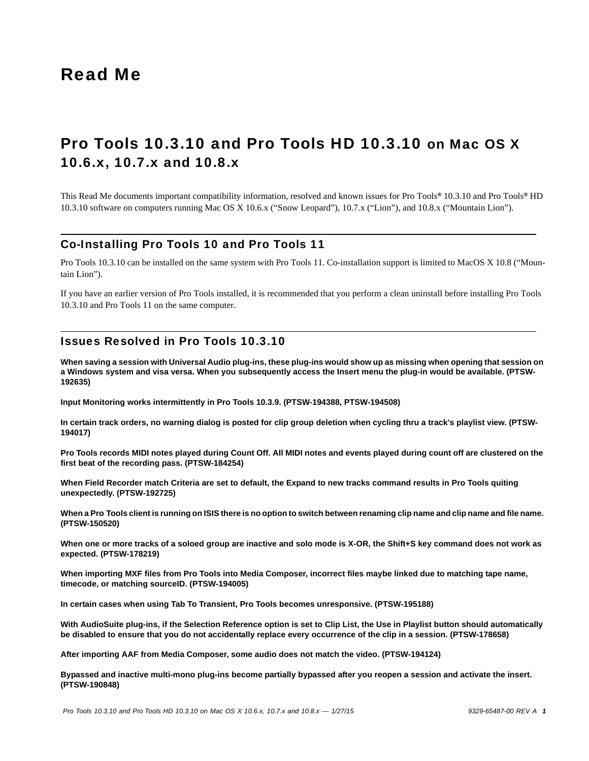# Read Me

# Pro Tools 10.3.10 and Pro Tools HD 10.3.10 on Mac OS X 10.6.x, 10.7.x and 10.8.x

This Read Me documents important compatibility information, resolved and known issues for Pro Tools*®* 10.3.10 and Pro Tools*®* HD 10.3.10 software on computers running Mac OS X 10.6.x ("Snow Leopard"), 10.7.x ("Lion"), and 10.8.x ("Mountain Lion").

# Co-Installing Pro Tools 10 and Pro Tools 11

Pro Tools 10.3.10 can be installed on the same system with Pro Tools 11. Co-installation support is limited to MacOS X 10.8 ("Mountain Lion").

If you have an earlier version of Pro Tools installed, it is recommended that you perform a clean uninstall before installing Pro Tools 10.3.10 and Pro Tools 11 on the same computer.

# Issues Resolved in Pro Tools 10.3.10

**When saving a session with Universal Audio plug-ins, these plug-ins would show up as missing when opening that session on a Windows system and visa versa. When you subsequently access the Insert menu the plug-in would be available. (PTSW-192635)**

**Input Monitoring works intermittently in Pro Tools 10.3.9. (PTSW-194388, PTSW-194508)**

**In certain track orders, no warning dialog is posted for clip group deletion when cycling thru a track's playlist view. (PTSW-194017)**

**Pro Tools records MIDI notes played during Count Off. All MIDI notes and events played during count off are clustered on the first beat of the recording pass. (PTSW-184254)**

**When Field Recorder match Criteria are set to default, the Expand to new tracks command results in Pro Tools quiting unexpectedly. (PTSW-192725)**

**When a Pro Tools client is running on ISIS there is no option to switch between renaming clip name and clip name and file name. (PTSW-150520)**

**When one or more tracks of a soloed group are inactive and solo mode is X-OR, the Shift+S key command does not work as expected. (PTSW-178219)**

**When importing MXF files from Pro Tools into Media Composer, incorrect files maybe linked due to matching tape name, timecode, or matching sourceID. (PTSW-194005)**

**In certain cases when using Tab To Transient, Pro Tools becomes unresponsive. (PTSW-195188)**

**With AudioSuite plug-ins, if the Selection Reference option is set to Clip List, the Use in Playlist button should automatically be disabled to ensure that you do not accidentally replace every occurrence of the clip in a session. (PTSW-178658)**

**After importing AAF from Media Composer, some audio does not match the video. (PTSW-194124)**

**Bypassed and inactive multi-mono plug-ins become partially bypassed after you reopen a session and activate the insert. (PTSW-190848)**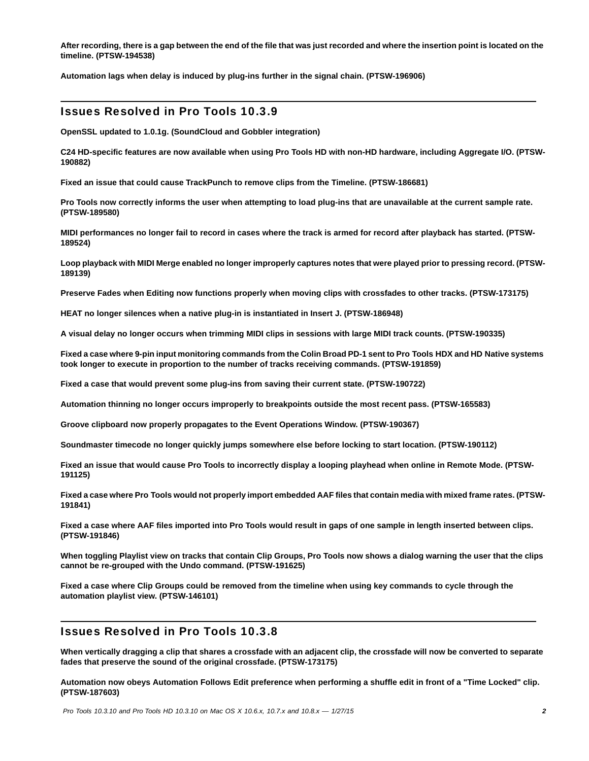**After recording, there is a gap between the end of the file that was just recorded and where the insertion point is located on the timeline. (PTSW-194538)**

**Automation lags when delay is induced by plug-ins further in the signal chain. (PTSW-196906)**

# Issues Resolved in Pro Tools 10.3.9

**OpenSSL updated to 1.0.1g. (SoundCloud and Gobbler integration)**

**C24 HD-specific features are now available when using Pro Tools HD with non-HD hardware, including Aggregate I/O. (PTSW-190882)**

**Fixed an issue that could cause TrackPunch to remove clips from the Timeline. (PTSW-186681)**

**Pro Tools now correctly informs the user when attempting to load plug-ins that are unavailable at the current sample rate. (PTSW-189580)**

**MIDI performances no longer fail to record in cases where the track is armed for record after playback has started. (PTSW-189524)**

**Loop playback with MIDI Merge enabled no longer improperly captures notes that were played prior to pressing record. (PTSW-189139)**

**Preserve Fades when Editing now functions properly when moving clips with crossfades to other tracks. (PTSW-173175)**

**HEAT no longer silences when a native plug-in is instantiated in Insert J. (PTSW-186948)**

**A visual delay no longer occurs when trimming MIDI clips in sessions with large MIDI track counts. (PTSW-190335)**

**Fixed a case where 9-pin input monitoring commands from the Colin Broad PD-1 sent to Pro Tools HDX and HD Native systems took longer to execute in proportion to the number of tracks receiving commands. (PTSW-191859)**

**Fixed a case that would prevent some plug-ins from saving their current state. (PTSW-190722)**

**Automation thinning no longer occurs improperly to breakpoints outside the most recent pass. (PTSW-165583)**

**Groove clipboard now properly propagates to the Event Operations Window. (PTSW-190367)**

**Soundmaster timecode no longer quickly jumps somewhere else before locking to start location. (PTSW-190112)**

**Fixed an issue that would cause Pro Tools to incorrectly display a looping playhead when online in Remote Mode. (PTSW-191125)**

**Fixed a case where Pro Tools would not properly import embedded AAF files that contain media with mixed frame rates. (PTSW-191841)**

**Fixed a case where AAF files imported into Pro Tools would result in gaps of one sample in length inserted between clips. (PTSW-191846)**

**When toggling Playlist view on tracks that contain Clip Groups, Pro Tools now shows a dialog warning the user that the clips cannot be re-grouped with the Undo command. (PTSW-191625)**

**Fixed a case where Clip Groups could be removed from the timeline when using key commands to cycle through the automation playlist view. (PTSW-146101)**

# Issues Resolved in Pro Tools 10.3.8

**When vertically dragging a clip that shares a crossfade with an adjacent clip, the crossfade will now be converted to separate fades that preserve the sound of the original crossfade. (PTSW-173175)**

**Automation now obeys Automation Follows Edit preference when performing a shuffle edit in front of a "Time Locked" clip. (PTSW-187603)**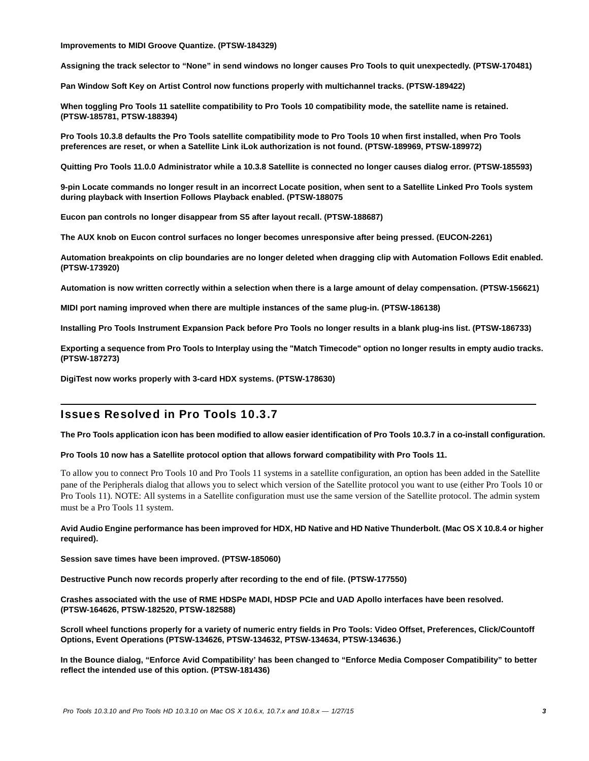**Improvements to MIDI Groove Quantize. (PTSW-184329)**

**Assigning the track selector to "None" in send windows no longer causes Pro Tools to quit unexpectedly. (PTSW-170481)**

**Pan Window Soft Key on Artist Control now functions properly with multichannel tracks. (PTSW-189422)**

**When toggling Pro Tools 11 satellite compatibility to Pro Tools 10 compatibility mode, the satellite name is retained. (PTSW-185781, PTSW-188394)**

**Pro Tools 10.3.8 defaults the Pro Tools satellite compatibility mode to Pro Tools 10 when first installed, when Pro Tools preferences are reset, or when a Satellite Link iLok authorization is not found. (PTSW-189969, PTSW-189972)**

**Quitting Pro Tools 11.0.0 Administrator while a 10.3.8 Satellite is connected no longer causes dialog error. (PTSW-185593)**

**9-pin Locate commands no longer result in an incorrect Locate position, when sent to a Satellite Linked Pro Tools system during playback with Insertion Follows Playback enabled. (PTSW-188075**

**Eucon pan controls no longer disappear from S5 after layout recall. (PTSW-188687)**

**The AUX knob on Eucon control surfaces no longer becomes unresponsive after being pressed. (EUCON-2261)**

**Automation breakpoints on clip boundaries are no longer deleted when dragging clip with Automation Follows Edit enabled. (PTSW-173920)**

**Automation is now written correctly within a selection when there is a large amount of delay compensation. (PTSW-156621)**

**MIDI port naming improved when there are multiple instances of the same plug-in. (PTSW-186138)**

**Installing Pro Tools Instrument Expansion Pack before Pro Tools no longer results in a blank plug-ins list. (PTSW-186733)**

**Exporting a sequence from Pro Tools to Interplay using the "Match Timecode" option no longer results in empty audio tracks. (PTSW-187273)**

**DigiTest now works properly with 3-card HDX systems. (PTSW-178630)**

# Issues Resolved in Pro Tools 10.3.7

**The Pro Tools application icon has been modified to allow easier identification of Pro Tools 10.3.7 in a co-install configuration.**

#### **Pro Tools 10 now has a Satellite protocol option that allows forward compatibility with Pro Tools 11.**

To allow you to connect Pro Tools 10 and Pro Tools 11 systems in a satellite configuration, an option has been added in the Satellite pane of the Peripherals dialog that allows you to select which version of the Satellite protocol you want to use (either Pro Tools 10 or Pro Tools 11). NOTE: All systems in a Satellite configuration must use the same version of the Satellite protocol. The admin system must be a Pro Tools 11 system.

#### **Avid Audio Engine performance has been improved for HDX, HD Native and HD Native Thunderbolt. (Mac OS X 10.8.4 or higher required).**

**Session save times have been improved. (PTSW-185060)**

**Destructive Punch now records properly after recording to the end of file. (PTSW-177550)**

**Crashes associated with the use of RME HDSPe MADI, HDSP PCIe and UAD Apollo interfaces have been resolved. (PTSW-164626, PTSW-182520, PTSW-182588)**

**Scroll wheel functions properly for a variety of numeric entry fields in Pro Tools: Video Offset, Preferences, Click/Countoff Options, Event Operations (PTSW-134626, PTSW-134632, PTSW-134634, PTSW-134636.)**

**In the Bounce dialog, "Enforce Avid Compatibility' has been changed to "Enforce Media Composer Compatibility" to better reflect the intended use of this option. (PTSW-181436)**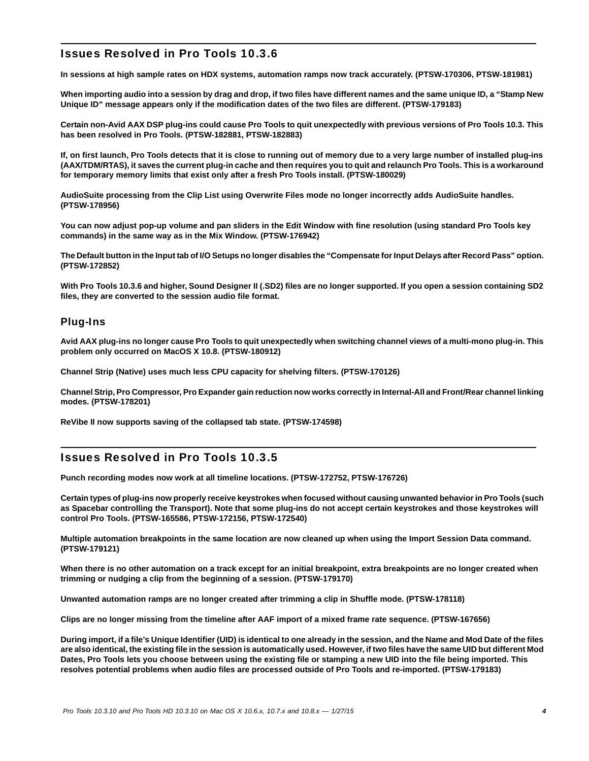# Issues Resolved in Pro Tools 10.3.6

**In sessions at high sample rates on HDX systems, automation ramps now track accurately. (PTSW-170306, PTSW-181981)**

**When importing audio into a session by drag and drop, if two files have different names and the same unique ID, a "Stamp New Unique ID" message appears only if the modification dates of the two files are different. (PTSW-179183)**

**Certain non-Avid AAX DSP plug-ins could cause Pro Tools to quit unexpectedly with previous versions of Pro Tools 10.3. This has been resolved in Pro Tools. (PTSW-182881, PTSW-182883)**

**If, on first launch, Pro Tools detects that it is close to running out of memory due to a very large number of installed plug-ins (AAX/TDM/RTAS), it saves the current plug-in cache and then requires you to quit and relaunch Pro Tools. This is a workaround for temporary memory limits that exist only after a fresh Pro Tools install. (PTSW-180029)**

**AudioSuite processing from the Clip List using Overwrite Files mode no longer incorrectly adds AudioSuite handles. (PTSW-178956)**

**You can now adjust pop-up volume and pan sliders in the Edit Window with fine resolution (using standard Pro Tools key commands) in the same way as in the Mix Window. (PTSW-176942)**

**The Default button in the Input tab of I/O Setups no longer disables the "Compensate for Input Delays after Record Pass" option. (PTSW-172852)**

**With Pro Tools 10.3.6 and higher, Sound Designer II (.SD2) files are no longer supported. If you open a session containing SD2 files, they are converted to the session audio file format.**

## Plug-Ins

**Avid AAX plug-ins no longer cause Pro Tools to quit unexpectedly when switching channel views of a multi-mono plug-in. This problem only occurred on MacOS X 10.8. (PTSW-180912)**

**Channel Strip (Native) uses much less CPU capacity for shelving filters. (PTSW-170126)**

**Channel Strip, Pro Compressor, Pro Expander gain reduction now works correctly in Internal-All and Front/Rear channel linking modes. (PTSW-178201)**

**ReVibe II now supports saving of the collapsed tab state. (PTSW-174598)**

# Issues Resolved in Pro Tools 10.3.5

**Punch recording modes now work at all timeline locations. (PTSW-172752, PTSW-176726)**

**Certain types of plug-ins now properly receive keystrokes when focused without causing unwanted behavior in Pro Tools (such as Spacebar controlling the Transport). Note that some plug-ins do not accept certain keystrokes and those keystrokes will control Pro Tools. (PTSW-165586, PTSW-172156, PTSW-172540)**

**Multiple automation breakpoints in the same location are now cleaned up when using the Import Session Data command. (PTSW-179121)**

**When there is no other automation on a track except for an initial breakpoint, extra breakpoints are no longer created when trimming or nudging a clip from the beginning of a session. (PTSW-179170)**

**Unwanted automation ramps are no longer created after trimming a clip in Shuffle mode. (PTSW-178118)**

**Clips are no longer missing from the timeline after AAF import of a mixed frame rate sequence. (PTSW-167656)**

**During import, if a file's Unique Identifier (UID) is identical to one already in the session, and the Name and Mod Date of the files are also identical, the existing file in the session is automatically used. However, if two files have the same UID but different Mod Dates, Pro Tools lets you choose between using the existing file or stamping a new UID into the file being imported. This resolves potential problems when audio files are processed outside of Pro Tools and re-imported. (PTSW-179183)**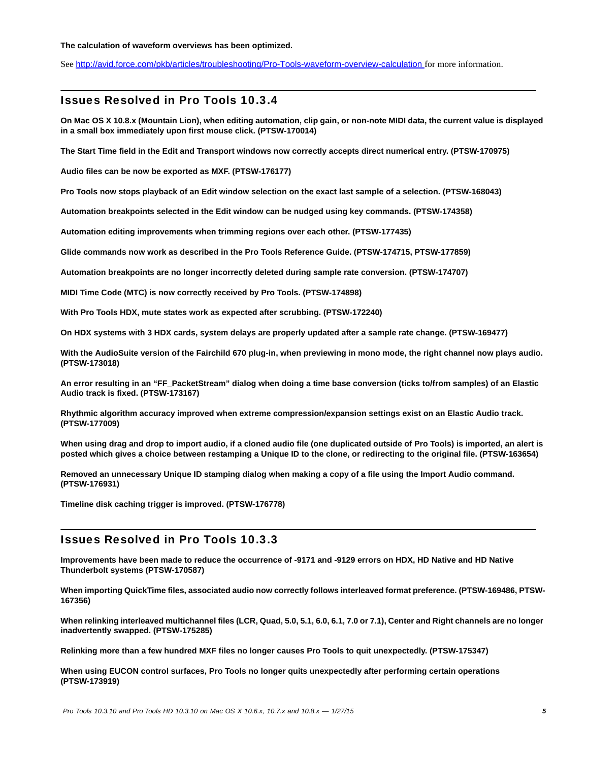#### **The calculation of waveform overviews has been optimized.**

See <http://avid.force.com/pkb/articles/troubleshooting/Pro-Tools-waveform-overview-calculation>for more information.

### Issues Resolved in Pro Tools 10.3.4

**On Mac OS X 10.8.x (Mountain Lion), when editing automation, clip gain, or non-note MIDI data, the current value is displayed in a small box immediately upon first mouse click. (PTSW-170014)** 

**The Start Time field in the Edit and Transport windows now correctly accepts direct numerical entry. (PTSW-170975)**

**Audio files can be now be exported as MXF. (PTSW-176177)**

**Pro Tools now stops playback of an Edit window selection on the exact last sample of a selection. (PTSW-168043)**

**Automation breakpoints selected in the Edit window can be nudged using key commands. (PTSW-174358)**

**Automation editing improvements when trimming regions over each other. (PTSW-177435)**

**Glide commands now work as described in the Pro Tools Reference Guide. (PTSW-174715, PTSW-177859)**

**Automation breakpoints are no longer incorrectly deleted during sample rate conversion. (PTSW-174707)**

**MIDI Time Code (MTC) is now correctly received by Pro Tools. (PTSW-174898)**

**With Pro Tools HDX, mute states work as expected after scrubbing. (PTSW-172240)**

**On HDX systems with 3 HDX cards, system delays are properly updated after a sample rate change. (PTSW-169477)**

**With the AudioSuite version of the Fairchild 670 plug-in, when previewing in mono mode, the right channel now plays audio. (PTSW-173018)**

**An error resulting in an "FF\_PacketStream" dialog when doing a time base conversion (ticks to/from samples) of an Elastic Audio track is fixed. (PTSW-173167)**

**Rhythmic algorithm accuracy improved when extreme compression/expansion settings exist on an Elastic Audio track. (PTSW-177009)**

**When using drag and drop to import audio, if a cloned audio file (one duplicated outside of Pro Tools) is imported, an alert is posted which gives a choice between restamping a Unique ID to the clone, or redirecting to the original file. (PTSW-163654)**

**Removed an unnecessary Unique ID stamping dialog when making a copy of a file using the Import Audio command. (PTSW-176931)**

**Timeline disk caching trigger is improved. (PTSW-176778)**

### Issues Resolved in Pro Tools 10.3.3

**Improvements have been made to reduce the occurrence of -9171 and -9129 errors on HDX, HD Native and HD Native Thunderbolt systems (PTSW-170587)**

**When importing QuickTime files, associated audio now correctly follows interleaved format preference. (PTSW-169486, PTSW-167356)**

**When relinking interleaved multichannel files (LCR, Quad, 5.0, 5.1, 6.0, 6.1, 7.0 or 7.1), Center and Right channels are no longer inadvertently swapped. (PTSW-175285)**

**Relinking more than a few hundred MXF files no longer causes Pro Tools to quit unexpectedly. (PTSW-175347)**

**When using EUCON control surfaces, Pro Tools no longer quits unexpectedly after performing certain operations (PTSW-173919)**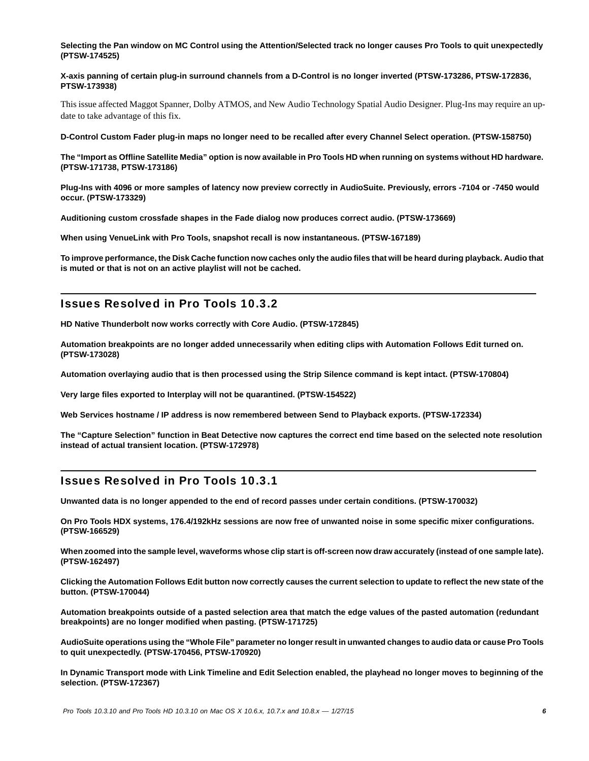**Selecting the Pan window on MC Control using the Attention/Selected track no longer causes Pro Tools to quit unexpectedly (PTSW-174525)**

**X-axis panning of certain plug-in surround channels from a D-Control is no longer inverted (PTSW-173286, PTSW-172836, PTSW-173938)**

This issue affected Maggot Spanner, Dolby ATMOS, and New Audio Technology Spatial Audio Designer. Plug-Ins may require an update to take advantage of this fix.

**D-Control Custom Fader plug-in maps no longer need to be recalled after every Channel Select operation. (PTSW-158750)**

**The "Import as Offline Satellite Media" option is now available in Pro Tools HD when running on systems without HD hardware. (PTSW-171738, PTSW-173186)**

**Plug-Ins with 4096 or more samples of latency now preview correctly in AudioSuite. Previously, errors -7104 or -7450 would occur. (PTSW-173329)**

**Auditioning custom crossfade shapes in the Fade dialog now produces correct audio. (PTSW-173669)**

**When using VenueLink with Pro Tools, snapshot recall is now instantaneous. (PTSW-167189)**

**To improve performance, the Disk Cache function now caches only the audio files that will be heard during playback. Audio that is muted or that is not on an active playlist will not be cached.**

### Issues Resolved in Pro Tools 10.3.2

**HD Native Thunderbolt now works correctly with Core Audio. (PTSW-172845)**

**Automation breakpoints are no longer added unnecessarily when editing clips with Automation Follows Edit turned on. (PTSW-173028)**

**Automation overlaying audio that is then processed using the Strip Silence command is kept intact. (PTSW-170804)**

**Very large files exported to Interplay will not be quarantined. (PTSW-154522)**

**Web Services hostname / IP address is now remembered between Send to Playback exports. (PTSW-172334)**

**The "Capture Selection" function in Beat Detective now captures the correct end time based on the selected note resolution instead of actual transient location. (PTSW-172978)**

### Issues Resolved in Pro Tools 10.3.1

**Unwanted data is no longer appended to the end of record passes under certain conditions. (PTSW-170032)**

**On Pro Tools HDX systems, 176.4/192kHz sessions are now free of unwanted noise in some specific mixer configurations. (PTSW-166529)**

**When zoomed into the sample level, waveforms whose clip start is off-screen now draw accurately (instead of one sample late). (PTSW-162497)**

**Clicking the Automation Follows Edit button now correctly causes the current selection to update to reflect the new state of the button. (PTSW-170044)**

**Automation breakpoints outside of a pasted selection area that match the edge values of the pasted automation (redundant breakpoints) are no longer modified when pasting. (PTSW-171725)**

**AudioSuite operations using the "Whole File" parameter no longer result in unwanted changes to audio data or cause Pro Tools to quit unexpectedly. (PTSW-170456, PTSW-170920)**

**In Dynamic Transport mode with Link Timeline and Edit Selection enabled, the playhead no longer moves to beginning of the selection. (PTSW-172367)**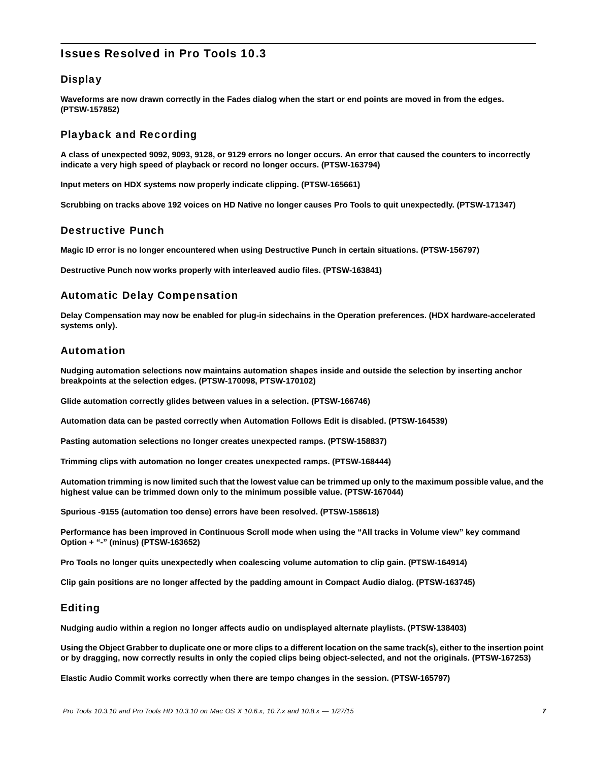# Issues Resolved in Pro Tools 10.3

# **Display**

**Waveforms are now drawn correctly in the Fades dialog when the start or end points are moved in from the edges. (PTSW-157852)**

# Playback and Recording

**A class of unexpected 9092, 9093, 9128, or 9129 errors no longer occurs. An error that caused the counters to incorrectly indicate a very high speed of playback or record no longer occurs. (PTSW-163794)**

**Input meters on HDX systems now properly indicate clipping. (PTSW-165661)**

**Scrubbing on tracks above 192 voices on HD Native no longer causes Pro Tools to quit unexpectedly. (PTSW-171347)**

### Destructive Punch

**Magic ID error is no longer encountered when using Destructive Punch in certain situations. (PTSW-156797)**

**Destructive Punch now works properly with interleaved audio files. (PTSW-163841)**

## Automatic Delay Compensation

**Delay Compensation may now be enabled for plug-in sidechains in the Operation preferences. (HDX hardware-accelerated systems only).**

### Automation

**Nudging automation selections now maintains automation shapes inside and outside the selection by inserting anchor breakpoints at the selection edges. (PTSW-170098, PTSW-170102)**

**Glide automation correctly glides between values in a selection. (PTSW-166746)**

**Automation data can be pasted correctly when Automation Follows Edit is disabled. (PTSW-164539)**

**Pasting automation selections no longer creates unexpected ramps. (PTSW-158837)**

**Trimming clips with automation no longer creates unexpected ramps. (PTSW-168444)**

**Automation trimming is now limited such that the lowest value can be trimmed up only to the maximum possible value, and the highest value can be trimmed down only to the minimum possible value. (PTSW-167044)**

**Spurious -9155 (automation too dense) errors have been resolved. (PTSW-158618)**

**Performance has been improved in Continuous Scroll mode when using the "All tracks in Volume view" key command Option + "-" (minus) (PTSW-163652)**

**Pro Tools no longer quits unexpectedly when coalescing volume automation to clip gain. (PTSW-164914)**

**Clip gain positions are no longer affected by the padding amount in Compact Audio dialog. (PTSW-163745)**

## Editing

**Nudging audio within a region no longer affects audio on undisplayed alternate playlists. (PTSW-138403)**

**Using the Object Grabber to duplicate one or more clips to a different location on the same track(s), either to the insertion point or by dragging, now correctly results in only the copied clips being object-selected, and not the originals. (PTSW-167253)**

**Elastic Audio Commit works correctly when there are tempo changes in the session. (PTSW-165797)**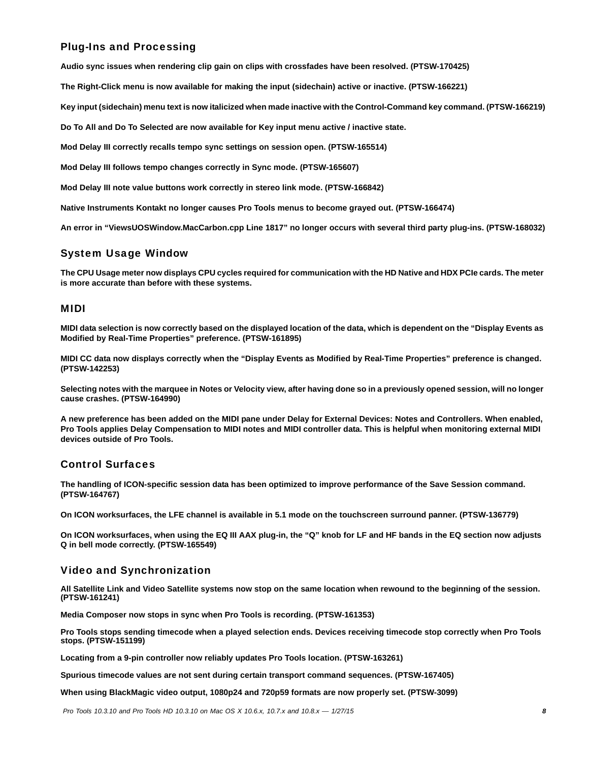# Plug-Ins and Processing

**Audio sync issues when rendering clip gain on clips with crossfades have been resolved. (PTSW-170425)**

**The Right-Click menu is now available for making the input (sidechain) active or inactive. (PTSW-166221)**

**Key input (sidechain) menu text is now italicized when made inactive with the Control-Command key command. (PTSW-166219)**

**Do To All and Do To Selected are now available for Key input menu active / inactive state.**

**Mod Delay III correctly recalls tempo sync settings on session open. (PTSW-165514)**

**Mod Delay III follows tempo changes correctly in Sync mode. (PTSW-165607)**

**Mod Delay III note value buttons work correctly in stereo link mode. (PTSW-166842)**

**Native Instruments Kontakt no longer causes Pro Tools menus to become grayed out. (PTSW-166474)**

**An error in "ViewsUOSWindow.MacCarbon.cpp Line 1817" no longer occurs with several third party plug-ins. (PTSW-168032)**

### System Usage Window

**The CPU Usage meter now displays CPU cycles required for communication with the HD Native and HDX PCIe cards. The meter is more accurate than before with these systems.** 

#### MIDI

**MIDI data selection is now correctly based on the displayed location of the data, which is dependent on the "Display Events as Modified by Real-Time Properties" preference. (PTSW-161895)**

**MIDI CC data now displays correctly when the "Display Events as Modified by Real-Time Properties" preference is changed. (PTSW-142253)**

**Selecting notes with the marquee in Notes or Velocity view, after having done so in a previously opened session, will no longer cause crashes. (PTSW-164990)**

**A new preference has been added on the MIDI pane under Delay for External Devices: Notes and Controllers. When enabled, Pro Tools applies Delay Compensation to MIDI notes and MIDI controller data. This is helpful when monitoring external MIDI devices outside of Pro Tools.**

## Control Surfaces

**The handling of ICON-specific session data has been optimized to improve performance of the Save Session command. (PTSW-164767)**

**On ICON worksurfaces, the LFE channel is available in 5.1 mode on the touchscreen surround panner. (PTSW-136779)**

**On ICON worksurfaces, when using the EQ III AAX plug-in, the "Q" knob for LF and HF bands in the EQ section now adjusts Q in bell mode correctly. (PTSW-165549)**

## Video and Synchronization

**All Satellite Link and Video Satellite systems now stop on the same location when rewound to the beginning of the session. (PTSW-161241)**

**Media Composer now stops in sync when Pro Tools is recording. (PTSW-161353)**

**Pro Tools stops sending timecode when a played selection ends. Devices receiving timecode stop correctly when Pro Tools stops. (PTSW-151199)**

**Locating from a 9-pin controller now reliably updates Pro Tools location. (PTSW-163261)**

**Spurious timecode values are not sent during certain transport command sequences. (PTSW-167405)**

**When using BlackMagic video output, 1080p24 and 720p59 formats are now properly set. (PTSW-3099)**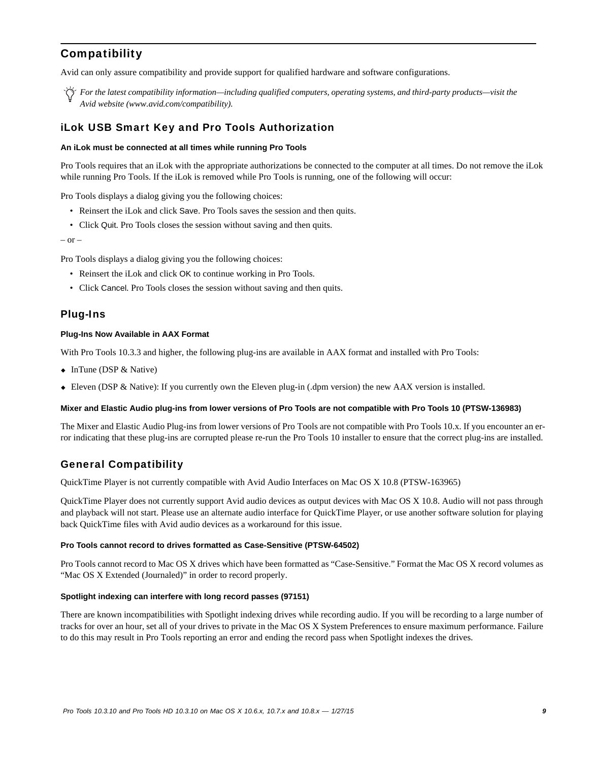# **Compatibility**

Avid can only assure compatibility and provide support for qualified hardware and software configurations.

*For the latest compatibility information—including qualified computers, operating systems, and third-party products—visit the Avid website (www.avid.com/compatibility).*

### iLok USB Smart Key and Pro Tools Authorization

#### **An iLok must be connected at all times while running Pro Tools**

Pro Tools requires that an iLok with the appropriate authorizations be connected to the computer at all times. Do not remove the iLok while running Pro Tools. If the iLok is removed while Pro Tools is running, one of the following will occur:

Pro Tools displays a dialog giving you the following choices:

- Reinsert the iLok and click Save. Pro Tools saves the session and then quits.
- Click Quit. Pro Tools closes the session without saving and then quits.

– or –

Pro Tools displays a dialog giving you the following choices:

- Reinsert the iLok and click OK to continue working in Pro Tools.
- Click Cancel. Pro Tools closes the session without saving and then quits.

#### Plug-Ins

#### **Plug-Ins Now Available in AAX Format**

With Pro Tools 10.3.3 and higher, the following plug-ins are available in AAX format and installed with Pro Tools:

- InTune (DSP & Native)
- Eleven (DSP & Native): If you currently own the Eleven plug-in (.dpm version) the new AAX version is installed.

#### **Mixer and Elastic Audio plug-ins from lower versions of Pro Tools are not compatible with Pro Tools 10 (PTSW-136983)**

The Mixer and Elastic Audio Plug-ins from lower versions of Pro Tools are not compatible with Pro Tools 10.x. If you encounter an error indicating that these plug-ins are corrupted please re-run the Pro Tools 10 installer to ensure that the correct plug-ins are installed.

### General Compatibility

QuickTime Player is not currently compatible with Avid Audio Interfaces on Mac OS X 10.8 (PTSW-163965)

QuickTime Player does not currently support Avid audio devices as output devices with Mac OS X 10.8. Audio will not pass through and playback will not start. Please use an alternate audio interface for QuickTime Player, or use another software solution for playing back QuickTime files with Avid audio devices as a workaround for this issue.

#### **Pro Tools cannot record to drives formatted as Case-Sensitive (PTSW-64502)**

Pro Tools cannot record to Mac OS X drives which have been formatted as "Case-Sensitive." Format the Mac OS X record volumes as "Mac OS X Extended (Journaled)" in order to record properly.

#### **Spotlight indexing can interfere with long record passes (97151)**

There are known incompatibilities with Spotlight indexing drives while recording audio. If you will be recording to a large number of tracks for over an hour, set all of your drives to private in the Mac OS X System Preferences to ensure maximum performance. Failure to do this may result in Pro Tools reporting an error and ending the record pass when Spotlight indexes the drives.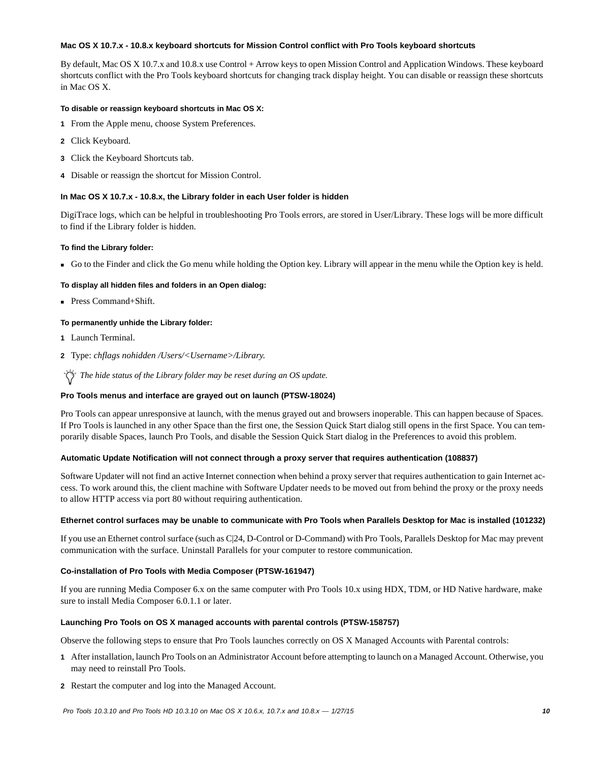#### **Mac OS X 10.7.x - 10.8.x keyboard shortcuts for Mission Control conflict with Pro Tools keyboard shortcuts**

By default, Mac OS X 10.7.x and 10.8.x use Control + Arrow keys to open Mission Control and Application Windows. These keyboard shortcuts conflict with the Pro Tools keyboard shortcuts for changing track display height. You can disable or reassign these shortcuts in Mac OS X.

#### **To disable or reassign keyboard shortcuts in Mac OS X:**

- **1** From the Apple menu, choose System Preferences.
- **2** Click Keyboard.
- **3** Click the Keyboard Shortcuts tab.
- **4** Disable or reassign the shortcut for Mission Control.

#### **In Mac OS X 10.7.x - 10.8.x, the Library folder in each User folder is hidden**

DigiTrace logs, which can be helpful in troubleshooting Pro Tools errors, are stored in User/Library. These logs will be more difficult to find if the Library folder is hidden.

#### **To find the Library folder:**

Go to the Finder and click the Go menu while holding the Option key. Library will appear in the menu while the Option key is held.

#### **To display all hidden files and folders in an Open dialog:**

■ Press Command+Shift.

#### **To permanently unhide the Library folder:**

- **1** Launch Terminal.
- **2** Type: *chflags nohidden /Users/<Username>/Library.*

The hide status of the Library folder may be reset during an OS update.

#### **Pro Tools menus and interface are grayed out on launch (PTSW-18024)**

Pro Tools can appear unresponsive at launch, with the menus grayed out and browsers inoperable. This can happen because of Spaces. If Pro Tools is launched in any other Space than the first one, the Session Quick Start dialog still opens in the first Space. You can temporarily disable Spaces, launch Pro Tools, and disable the Session Quick Start dialog in the Preferences to avoid this problem.

#### **Automatic Update Notification will not connect through a proxy server that requires authentication (108837)**

Software Updater will not find an active Internet connection when behind a proxy server that requires authentication to gain Internet access. To work around this, the client machine with Software Updater needs to be moved out from behind the proxy or the proxy needs to allow HTTP access via port 80 without requiring authentication.

#### **Ethernet control surfaces may be unable to communicate with Pro Tools when Parallels Desktop for Mac is installed (101232)**

If you use an Ethernet control surface (such as C|24, D-Control or D-Command) with Pro Tools, Parallels Desktop for Mac may prevent communication with the surface. Uninstall Parallels for your computer to restore communication.

#### **Co-installation of Pro Tools with Media Composer (PTSW-161947)**

If you are running Media Composer 6.x on the same computer with Pro Tools 10.x using HDX, TDM, or HD Native hardware, make sure to install Media Composer 6.0.1.1 or later.

#### **Launching Pro Tools on OS X managed accounts with parental controls (PTSW-158757)**

Observe the following steps to ensure that Pro Tools launches correctly on OS X Managed Accounts with Parental controls:

- **1** After installation, launch Pro Tools on an Administrator Account before attempting to launch on a Managed Account. Otherwise, you may need to reinstall Pro Tools.
- **2** Restart the computer and log into the Managed Account.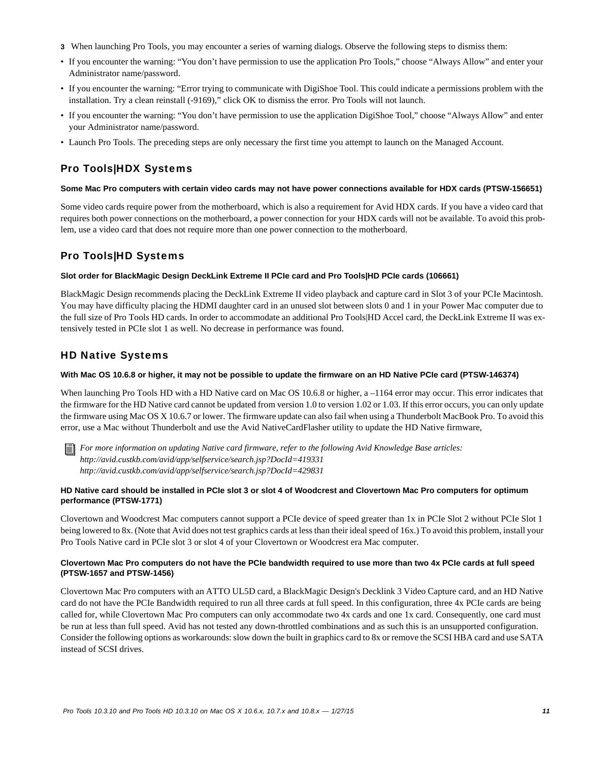- **3** When launching Pro Tools, you may encounter a series of warning dialogs. Observe the following steps to dismiss them:
- If you encounter the warning: "You don't have permission to use the application Pro Tools," choose "Always Allow" and enter your Administrator name/password.
- If you encounter the warning: "Error trying to communicate with DigiShoe Tool. This could indicate a permissions problem with the installation. Try a clean reinstall (-9169)," click OK to dismiss the error. Pro Tools will not launch.
- If you encounter the warning: "You don't have permission to use the application DigiShoe Tool," choose "Always Allow" and enter your Administrator name/password.
- Launch Pro Tools. The preceding steps are only necessary the first time you attempt to launch on the Managed Account.

# Pro Tools|HDX Systems

#### **Some Mac Pro computers with certain video cards may not have power connections available for HDX cards (PTSW-156651)**

Some video cards require power from the motherboard, which is also a requirement for Avid HDX cards. If you have a video card that requires both power connections on the motherboard, a power connection for your HDX cards will not be available. To avoid this problem, use a video card that does not require more than one power connection to the motherboard.

# Pro Tools|HD Systems

#### **Slot order for BlackMagic Design DeckLink Extreme II PCIe card and Pro Tools|HD PCIe cards (106661)**

BlackMagic Design recommends placing the DeckLink Extreme II video playback and capture card in Slot 3 of your PCIe Macintosh. You may have difficulty placing the HDMI daughter card in an unused slot between slots 0 and 1 in your Power Mac computer due to the full size of Pro Tools HD cards. In order to accommodate an additional Pro Tools|HD Accel card, the DeckLink Extreme II was extensively tested in PCIe slot 1 as well. No decrease in performance was found.

## HD Native Systems

#### **With Mac OS 10.6.8 or higher, it may not be possible to update the firmware on an HD Native PCIe card (PTSW-146374)**

When launching Pro Tools HD with a HD Native card on Mac OS 10.6.8 or higher, a –1164 error may occur. This error indicates that the firmware for the HD Native card cannot be updated from version 1.0 to version 1.02 or 1.03. If this error occurs, you can only update the firmware using Mac OS X 10.6.7 or lower. The firmware update can also fail when using a Thunderbolt MacBook Pro. To avoid this error, use a Mac without Thunderbolt and use the Avid NativeCardFlasher utility to update the HD Native firmware,



*For more information on updating Native card firmware, refer to the following Avid Knowledge Base articles: http://avid.custkb.com/avid/app/selfservice/search.jsp?DocId=419331 http://avid.custkb.com/avid/app/selfservice/search.jsp?DocId=429831*

#### **HD Native card should be installed in PCIe slot 3 or slot 4 of Woodcrest and Clovertown Mac Pro computers for optimum performance (PTSW-1771)**

Clovertown and Woodcrest Mac computers cannot support a PCIe device of speed greater than 1x in PCIe Slot 2 without PCIe Slot 1 being lowered to 8x. (Note that Avid does not test graphics cards at less than their ideal speed of 16x.) To avoid this problem, install your Pro Tools Native card in PCIe slot 3 or slot 4 of your Clovertown or Woodcrest era Mac computer.

#### **Clovertown Mac Pro computers do not have the PCIe bandwidth required to use more than two 4x PCIe cards at full speed (PTSW-1657 and PTSW-1456)**

Clovertown Mac Pro computers with an ATTO UL5D card, a BlackMagic Design's Decklink 3 Video Capture card, and an HD Native card do not have the PCIe Bandwidth required to run all three cards at full speed. In this configuration, three 4x PCIe cards are being called for, while Clovertown Mac Pro computers can only accommodate two 4x cards and one 1x card. Consequently, one card must be run at less than full speed. Avid has not tested any down-throttled combinations and as such this is an unsupported configuration. Consider the following options as workarounds: slow down the built in graphics card to 8x or remove the SCSI HBA card and use SATA instead of SCSI drives.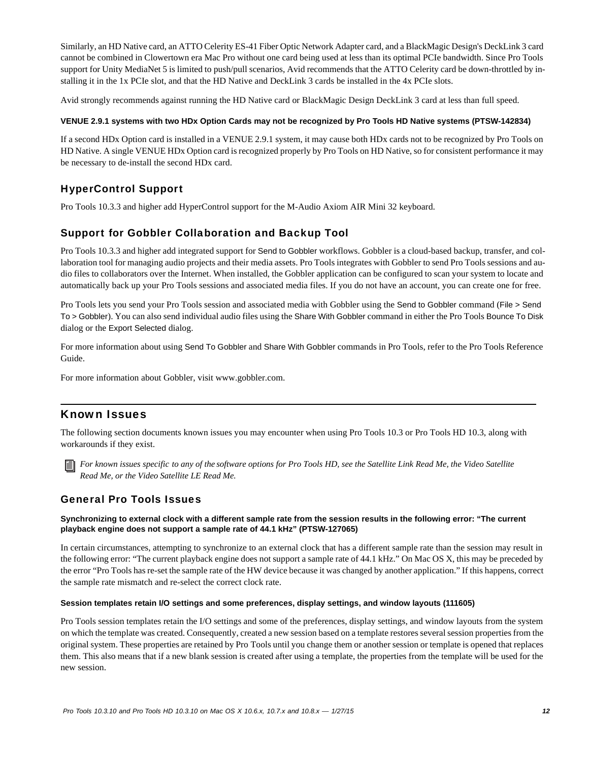Similarly, an HD Native card, an ATTO Celerity ES-41 Fiber Optic Network Adapter card, and a BlackMagic Design's DeckLink 3 card cannot be combined in Clowertown era Mac Pro without one card being used at less than its optimal PCIe bandwidth. Since Pro Tools support for Unity MediaNet 5 is limited to push/pull scenarios, Avid recommends that the ATTO Celerity card be down-throttled by installing it in the 1x PCIe slot, and that the HD Native and DeckLink 3 cards be installed in the 4x PCIe slots.

Avid strongly recommends against running the HD Native card or BlackMagic Design DeckLink 3 card at less than full speed.

#### **VENUE 2.9.1 systems with two HDx Option Cards may not be recognized by Pro Tools HD Native systems (PTSW-142834)**

If a second HDx Option card is installed in a VENUE 2.9.1 system, it may cause both HDx cards not to be recognized by Pro Tools on HD Native. A single VENUE HDx Option card is recognized properly by Pro Tools on HD Native, so for consistent performance it may be necessary to de-install the second HDx card.

# HyperControl Support

Pro Tools 10.3.3 and higher add HyperControl support for the M-Audio Axiom AIR Mini 32 keyboard.

# Support for Gobbler Collaboration and Backup Tool

Pro Tools 10.3.3 and higher add integrated support for Send to Gobbler workflows. Gobbler is a cloud-based backup, transfer, and collaboration tool for managing audio projects and their media assets. Pro Tools integrates with Gobbler to send Pro Tools sessions and audio files to collaborators over the Internet. When installed, the Gobbler application can be configured to scan your system to locate and automatically back up your Pro Tools sessions and associated media files. If you do not have an account, you can create one for free.

Pro Tools lets you send your Pro Tools session and associated media with Gobbler using the Send to Gobbler command (File > Send To > Gobbler). You can also send individual audio files using the Share With Gobbler command in either the Pro Tools Bounce To Disk dialog or the Export Selected dialog.

For more information about using Send To Gobbler and Share With Gobbler commands in Pro Tools, refer to the Pro Tools Reference Guide.

For more information about Gobbler, visit www.gobbler.com.

## Known Issues

The following section documents known issues you may encounter when using Pro Tools 10.3 or Pro Tools HD 10.3, along with workarounds if they exist.

*For known issues specific to any of the software options for Pro Tools HD, see the Satellite Link Read Me, the Video Satellite Read Me, or the Video Satellite LE Read Me.*

## General Pro Tools Issues

#### **Synchronizing to external clock with a different sample rate from the session results in the following error: "The current playback engine does not support a sample rate of 44.1 kHz" (PTSW-127065)**

In certain circumstances, attempting to synchronize to an external clock that has a different sample rate than the session may result in the following error: "The current playback engine does not support a sample rate of 44.1 kHz." On Mac OS X, this may be preceded by the error "Pro Tools has re-set the sample rate of the HW device because it was changed by another application." If this happens, correct the sample rate mismatch and re-select the correct clock rate.

#### **Session templates retain I/O settings and some preferences, display settings, and window layouts (111605)**

Pro Tools session templates retain the I/O settings and some of the preferences, display settings, and window layouts from the system on which the template was created. Consequently, created a new session based on a template restores several session properties from the original system. These properties are retained by Pro Tools until you change them or another session or template is opened that replaces them. This also means that if a new blank session is created after using a template, the properties from the template will be used for the new session.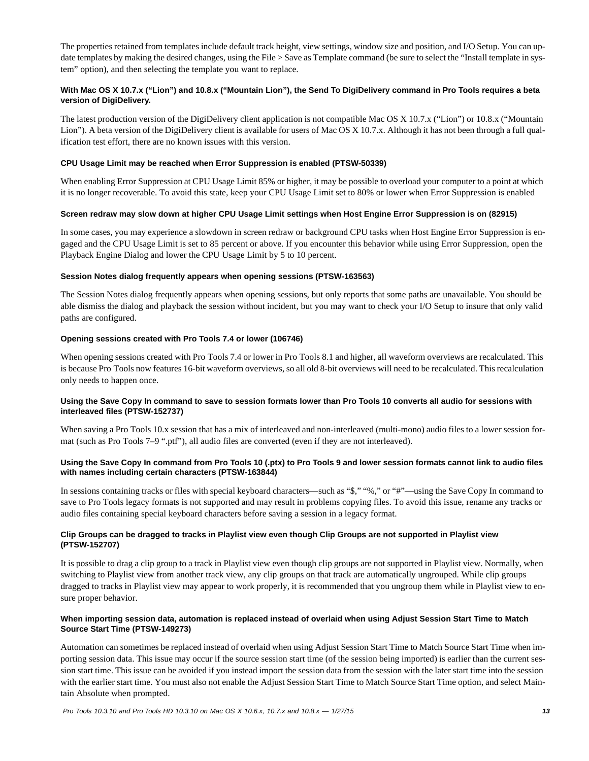The properties retained from templates include default track height, view settings, window size and position, and I/O Setup. You can update templates by making the desired changes, using the File > Save as Template command (be sure to select the "Install template in system" option), and then selecting the template you want to replace.

#### **With Mac OS X 10.7.x ("Lion") and 10.8.x ("Mountain Lion"), the Send To DigiDelivery command in Pro Tools requires a beta version of DigiDelivery.**

The latest production version of the DigiDelivery client application is not compatible Mac OS X 10.7.x ("Lion") or 10.8.x ("Mountain Lion"). A beta version of the DigiDelivery client is available for users of Mac OS X 10.7.x. Although it has not been through a full qualification test effort, there are no known issues with this version.

#### **CPU Usage Limit may be reached when Error Suppression is enabled (PTSW-50339)**

When enabling Error Suppression at CPU Usage Limit 85% or higher, it may be possible to overload your computer to a point at which it is no longer recoverable. To avoid this state, keep your CPU Usage Limit set to 80% or lower when Error Suppression is enabled

#### **Screen redraw may slow down at higher CPU Usage Limit settings when Host Engine Error Suppression is on (82915)**

In some cases, you may experience a slowdown in screen redraw or background CPU tasks when Host Engine Error Suppression is engaged and the CPU Usage Limit is set to 85 percent or above. If you encounter this behavior while using Error Suppression, open the Playback Engine Dialog and lower the CPU Usage Limit by 5 to 10 percent.

#### **Session Notes dialog frequently appears when opening sessions (PTSW-163563)**

The Session Notes dialog frequently appears when opening sessions, but only reports that some paths are unavailable. You should be able dismiss the dialog and playback the session without incident, but you may want to check your I/O Setup to insure that only valid paths are configured.

#### **Opening sessions created with Pro Tools 7.4 or lower (106746)**

When opening sessions created with Pro Tools 7.4 or lower in Pro Tools 8.1 and higher, all waveform overviews are recalculated. This is because Pro Tools now features 16-bit waveform overviews, so all old 8-bit overviews will need to be recalculated. This recalculation only needs to happen once.

#### **Using the Save Copy In command to save to session formats lower than Pro Tools 10 converts all audio for sessions with interleaved files (PTSW-152737)**

When saving a Pro Tools 10.x session that has a mix of interleaved and non-interleaved (multi-mono) audio files to a lower session format (such as Pro Tools 7–9 ".ptf"), all audio files are converted (even if they are not interleaved).

#### **Using the Save Copy In command from Pro Tools 10 (.ptx) to Pro Tools 9 and lower session formats cannot link to audio files with names including certain characters (PTSW-163844)**

In sessions containing tracks or files with special keyboard characters—such as "\$," "%," or "#"—using the Save Copy In command to save to Pro Tools legacy formats is not supported and may result in problems copying files. To avoid this issue, rename any tracks or audio files containing special keyboard characters before saving a session in a legacy format.

#### **Clip Groups can be dragged to tracks in Playlist view even though Clip Groups are not supported in Playlist view (PTSW-152707)**

It is possible to drag a clip group to a track in Playlist view even though clip groups are not supported in Playlist view. Normally, when switching to Playlist view from another track view, any clip groups on that track are automatically ungrouped. While clip groups dragged to tracks in Playlist view may appear to work properly, it is recommended that you ungroup them while in Playlist view to ensure proper behavior.

#### **When importing session data, automation is replaced instead of overlaid when using Adjust Session Start Time to Match Source Start Time (PTSW-149273)**

Automation can sometimes be replaced instead of overlaid when using Adjust Session Start Time to Match Source Start Time when importing session data. This issue may occur if the source session start time (of the session being imported) is earlier than the current session start time. This issue can be avoided if you instead import the session data from the session with the later start time into the session with the earlier start time. You must also not enable the Adjust Session Start Time to Match Source Start Time option, and select Maintain Absolute when prompted.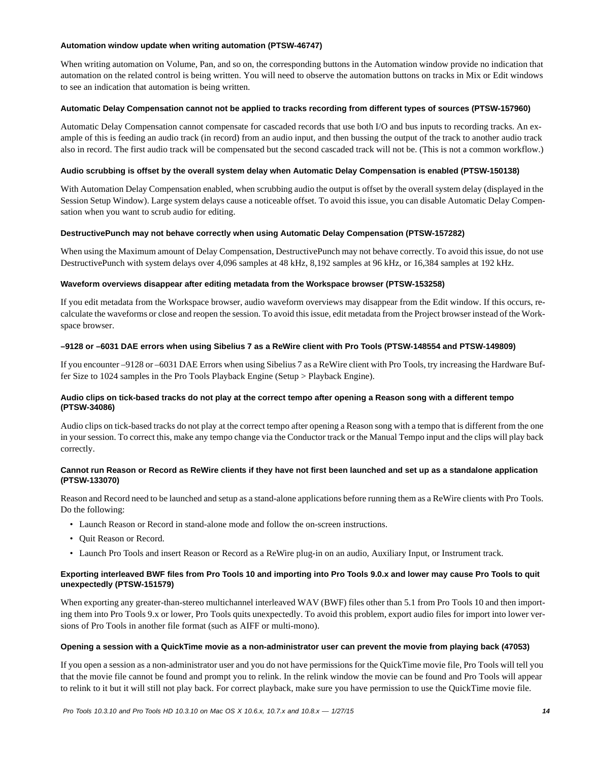#### **Automation window update when writing automation (PTSW-46747)**

When writing automation on Volume, Pan, and so on, the corresponding buttons in the Automation window provide no indication that automation on the related control is being written. You will need to observe the automation buttons on tracks in Mix or Edit windows to see an indication that automation is being written.

#### **Automatic Delay Compensation cannot not be applied to tracks recording from different types of sources (PTSW-157960)**

Automatic Delay Compensation cannot compensate for cascaded records that use both I/O and bus inputs to recording tracks. An example of this is feeding an audio track (in record) from an audio input, and then bussing the output of the track to another audio track also in record. The first audio track will be compensated but the second cascaded track will not be. (This is not a common workflow.)

#### **Audio scrubbing is offset by the overall system delay when Automatic Delay Compensation is enabled (PTSW-150138)**

With Automation Delay Compensation enabled, when scrubbing audio the output is offset by the overall system delay (displayed in the Session Setup Window). Large system delays cause a noticeable offset. To avoid this issue, you can disable Automatic Delay Compensation when you want to scrub audio for editing.

#### **DestructivePunch may not behave correctly when using Automatic Delay Compensation (PTSW-157282)**

When using the Maximum amount of Delay Compensation, DestructivePunch may not behave correctly. To avoid this issue, do not use DestructivePunch with system delays over 4,096 samples at 48 kHz, 8,192 samples at 96 kHz, or 16,384 samples at 192 kHz.

#### **Waveform overviews disappear after editing metadata from the Workspace browser (PTSW-153258)**

If you edit metadata from the Workspace browser, audio waveform overviews may disappear from the Edit window. If this occurs, recalculate the waveforms or close and reopen the session. To avoid this issue, edit metadata from the Project browser instead of the Workspace browser.

#### **–9128 or –6031 DAE errors when using Sibelius 7 as a ReWire client with Pro Tools (PTSW-148554 and PTSW-149809)**

If you encounter –9128 or –6031 DAE Errors when using Sibelius 7 as a ReWire client with Pro Tools, try increasing the Hardware Buffer Size to 1024 samples in the Pro Tools Playback Engine (Setup > Playback Engine).

#### **Audio clips on tick-based tracks do not play at the correct tempo after opening a Reason song with a different tempo (PTSW-34086)**

Audio clips on tick-based tracks do not play at the correct tempo after opening a Reason song with a tempo that is different from the one in your session. To correct this, make any tempo change via the Conductor track or the Manual Tempo input and the clips will play back correctly.

#### **Cannot run Reason or Record as ReWire clients if they have not first been launched and set up as a standalone application (PTSW-133070)**

Reason and Record need to be launched and setup as a stand-alone applications before running them as a ReWire clients with Pro Tools. Do the following:

- Launch Reason or Record in stand-alone mode and follow the on-screen instructions.
- Quit Reason or Record.
- Launch Pro Tools and insert Reason or Record as a ReWire plug-in on an audio, Auxiliary Input, or Instrument track.

#### **Exporting interleaved BWF files from Pro Tools 10 and importing into Pro Tools 9.0.x and lower may cause Pro Tools to quit unexpectedly (PTSW-151579)**

When exporting any greater-than-stereo multichannel interleaved WAV (BWF) files other than 5.1 from Pro Tools 10 and then importing them into Pro Tools 9.x or lower, Pro Tools quits unexpectedly. To avoid this problem, export audio files for import into lower versions of Pro Tools in another file format (such as AIFF or multi-mono).

#### **Opening a session with a QuickTime movie as a non-administrator user can prevent the movie from playing back (47053)**

If you open a session as a non-administrator user and you do not have permissions for the QuickTime movie file, Pro Tools will tell you that the movie file cannot be found and prompt you to relink. In the relink window the movie can be found and Pro Tools will appear to relink to it but it will still not play back. For correct playback, make sure you have permission to use the QuickTime movie file.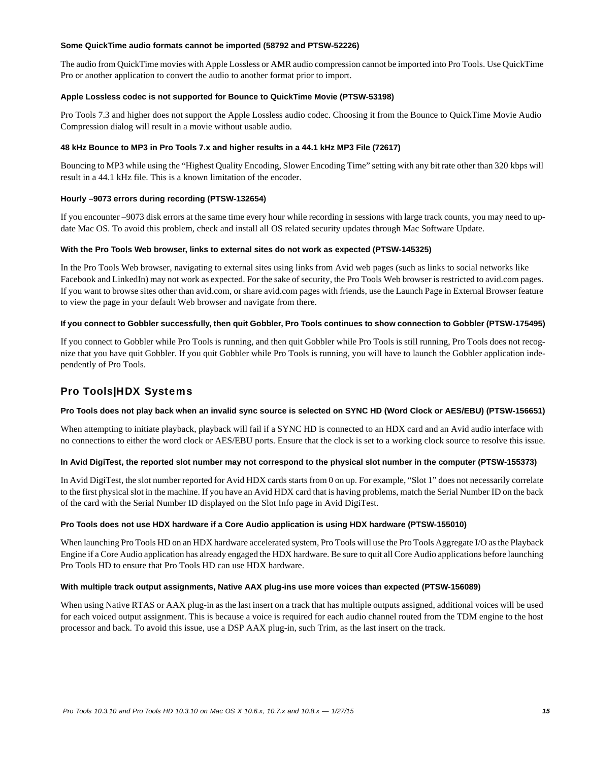#### **Some QuickTime audio formats cannot be imported (58792 and PTSW-52226)**

The audio from QuickTime movies with Apple Lossless or AMR audio compression cannot be imported into Pro Tools. Use QuickTime Pro or another application to convert the audio to another format prior to import.

#### **Apple Lossless codec is not supported for Bounce to QuickTime Movie (PTSW-53198)**

Pro Tools 7.3 and higher does not support the Apple Lossless audio codec. Choosing it from the Bounce to QuickTime Movie Audio Compression dialog will result in a movie without usable audio.

#### **48 kHz Bounce to MP3 in Pro Tools 7.x and higher results in a 44.1 kHz MP3 File (72617)**

Bouncing to MP3 while using the "Highest Quality Encoding, Slower Encoding Time" setting with any bit rate other than 320 kbps will result in a 44.1 kHz file. This is a known limitation of the encoder.

#### **Hourly –9073 errors during recording (PTSW-132654)**

If you encounter –9073 disk errors at the same time every hour while recording in sessions with large track counts, you may need to update Mac OS. To avoid this problem, check and install all OS related security updates through Mac Software Update.

#### **With the Pro Tools Web browser, links to external sites do not work as expected (PTSW-145325)**

In the Pro Tools Web browser, navigating to external sites using links from Avid web pages (such as links to social networks like Facebook and LinkedIn) may not work as expected. For the sake of security, the Pro Tools Web browser is restricted to avid.com pages. If you want to browse sites other than avid.com, or share avid.com pages with friends, use the Launch Page in External Browser feature to view the page in your default Web browser and navigate from there.

#### **If you connect to Gobbler successfully, then quit Gobbler, Pro Tools continues to show connection to Gobbler (PTSW-175495)**

If you connect to Gobbler while Pro Tools is running, and then quit Gobbler while Pro Tools is still running, Pro Tools does not recognize that you have quit Gobbler. If you quit Gobbler while Pro Tools is running, you will have to launch the Gobbler application independently of Pro Tools.

# Pro Tools|HDX Systems

#### **Pro Tools does not play back when an invalid sync source is selected on SYNC HD (Word Clock or AES/EBU) (PTSW-156651)**

When attempting to initiate playback, playback will fail if a SYNC HD is connected to an HDX card and an Avid audio interface with no connections to either the word clock or AES/EBU ports. Ensure that the clock is set to a working clock source to resolve this issue.

#### **In Avid DigiTest, the reported slot number may not correspond to the physical slot number in the computer (PTSW-155373)**

In Avid DigiTest, the slot number reported for Avid HDX cards starts from 0 on up. For example, "Slot 1" does not necessarily correlate to the first physical slot in the machine. If you have an Avid HDX card that is having problems, match the Serial Number ID on the back of the card with the Serial Number ID displayed on the Slot Info page in Avid DigiTest.

#### **Pro Tools does not use HDX hardware if a Core Audio application is using HDX hardware (PTSW-155010)**

When launching Pro Tools HD on an HDX hardware accelerated system, Pro Tools will use the Pro Tools Aggregate I/O as the Playback Engine if a Core Audio application has already engaged the HDX hardware. Be sure to quit all Core Audio applications before launching Pro Tools HD to ensure that Pro Tools HD can use HDX hardware.

#### **With multiple track output assignments, Native AAX plug-ins use more voices than expected (PTSW-156089)**

When using Native RTAS or AAX plug-in as the last insert on a track that has multiple outputs assigned, additional voices will be used for each voiced output assignment. This is because a voice is required for each audio channel routed from the TDM engine to the host processor and back. To avoid this issue, use a DSP AAX plug-in, such Trim, as the last insert on the track.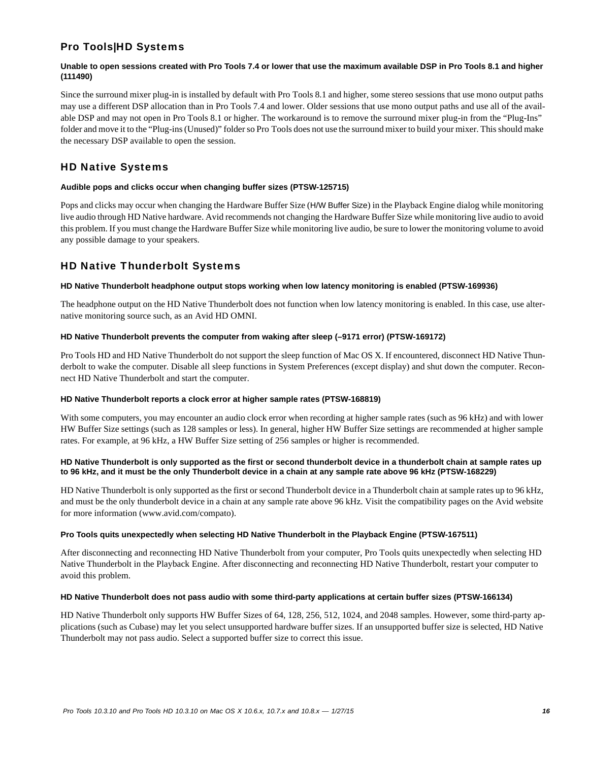# Pro Tools|HD Systems

#### **Unable to open sessions created with Pro Tools 7.4 or lower that use the maximum available DSP in Pro Tools 8.1 and higher (111490)**

Since the surround mixer plug-in is installed by default with Pro Tools 8.1 and higher, some stereo sessions that use mono output paths may use a different DSP allocation than in Pro Tools 7.4 and lower. Older sessions that use mono output paths and use all of the available DSP and may not open in Pro Tools 8.1 or higher. The workaround is to remove the surround mixer plug-in from the "Plug-Ins" folder and move it to the "Plug-ins (Unused)" folder so Pro Tools does not use the surround mixer to build your mixer. This should make the necessary DSP available to open the session.

# HD Native Systems

#### **Audible pops and clicks occur when changing buffer sizes (PTSW-125715)**

Pops and clicks may occur when changing the Hardware Buffer Size (H/W Buffer Size) in the Playback Engine dialog while monitoring live audio through HD Native hardware. Avid recommends not changing the Hardware Buffer Size while monitoring live audio to avoid this problem. If you must change the Hardware Buffer Size while monitoring live audio, be sure to lower the monitoring volume to avoid any possible damage to your speakers.

# HD Native Thunderbolt Systems

#### **HD Native Thunderbolt headphone output stops working when low latency monitoring is enabled (PTSW-169936)**

The headphone output on the HD Native Thunderbolt does not function when low latency monitoring is enabled. In this case, use alternative monitoring source such, as an Avid HD OMNI.

#### **HD Native Thunderbolt prevents the computer from waking after sleep (–9171 error) (PTSW-169172)**

Pro Tools HD and HD Native Thunderbolt do not support the sleep function of Mac OS X. If encountered, disconnect HD Native Thunderbolt to wake the computer. Disable all sleep functions in System Preferences (except display) and shut down the computer. Reconnect HD Native Thunderbolt and start the computer.

#### **HD Native Thunderbolt reports a clock error at higher sample rates (PTSW-168819)**

With some computers, you may encounter an audio clock error when recording at higher sample rates (such as 96 kHz) and with lower HW Buffer Size settings (such as 128 samples or less). In general, higher HW Buffer Size settings are recommended at higher sample rates. For example, at 96 kHz, a HW Buffer Size setting of 256 samples or higher is recommended.

#### **HD Native Thunderbolt is only supported as the first or second thunderbolt device in a thunderbolt chain at sample rates up to 96 kHz, and it must be the only Thunderbolt device in a chain at any sample rate above 96 kHz (PTSW-168229)**

HD Native Thunderbolt is only supported as the first or second Thunderbolt device in a Thunderbolt chain at sample rates up to 96 kHz, and must be the only thunderbolt device in a chain at any sample rate above 96 kHz. Visit the compatibility pages on the Avid website for more information (www.avid.com/compato).

#### **Pro Tools quits unexpectedly when selecting HD Native Thunderbolt in the Playback Engine (PTSW-167511)**

After disconnecting and reconnecting HD Native Thunderbolt from your computer, Pro Tools quits unexpectedly when selecting HD Native Thunderbolt in the Playback Engine. After disconnecting and reconnecting HD Native Thunderbolt, restart your computer to avoid this problem.

#### **HD Native Thunderbolt does not pass audio with some third-party applications at certain buffer sizes (PTSW-166134)**

HD Native Thunderbolt only supports HW Buffer Sizes of 64, 128, 256, 512, 1024, and 2048 samples. However, some third-party applications (such as Cubase) may let you select unsupported hardware buffer sizes. If an unsupported buffer size is selected, HD Native Thunderbolt may not pass audio. Select a supported buffer size to correct this issue.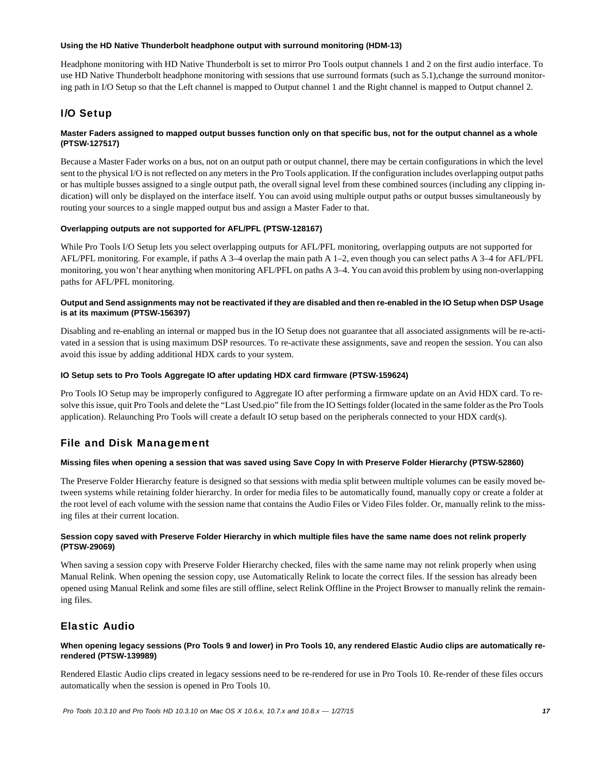#### **Using the HD Native Thunderbolt headphone output with surround monitoring (HDM-13)**

Headphone monitoring with HD Native Thunderbolt is set to mirror Pro Tools output channels 1 and 2 on the first audio interface. To use HD Native Thunderbolt headphone monitoring with sessions that use surround formats (such as 5.1), change the surround monitoring path in I/O Setup so that the Left channel is mapped to Output channel 1 and the Right channel is mapped to Output channel 2.

# I/O Setup

#### **Master Faders assigned to mapped output busses function only on that specific bus, not for the output channel as a whole (PTSW-127517)**

Because a Master Fader works on a bus, not on an output path or output channel, there may be certain configurations in which the level sent to the physical I/O is not reflected on any meters in the Pro Tools application. If the configuration includes overlapping output paths or has multiple busses assigned to a single output path, the overall signal level from these combined sources (including any clipping indication) will only be displayed on the interface itself. You can avoid using multiple output paths or output busses simultaneously by routing your sources to a single mapped output bus and assign a Master Fader to that.

#### **Overlapping outputs are not supported for AFL/PFL (PTSW-128167)**

While Pro Tools I/O Setup lets you select overlapping outputs for AFL/PFL monitoring, overlapping outputs are not supported for AFL/PFL monitoring. For example, if paths A 3–4 overlap the main path A 1–2, even though you can select paths A 3–4 for AFL/PFL monitoring, you won't hear anything when monitoring AFL/PFL on paths A 3–4. You can avoid this problem by using non-overlapping paths for AFL/PFL monitoring.

#### **Output and Send assignments may not be reactivated if they are disabled and then re-enabled in the IO Setup when DSP Usage is at its maximum (PTSW-156397)**

Disabling and re-enabling an internal or mapped bus in the IO Setup does not guarantee that all associated assignments will be re-activated in a session that is using maximum DSP resources. To re-activate these assignments, save and reopen the session. You can also avoid this issue by adding additional HDX cards to your system.

#### **IO Setup sets to Pro Tools Aggregate IO after updating HDX card firmware (PTSW-159624)**

Pro Tools IO Setup may be improperly configured to Aggregate IO after performing a firmware update on an Avid HDX card. To resolve this issue, quit Pro Tools and delete the "Last Used.pio" file from the IO Settings folder (located in the same folder as the Pro Tools application). Relaunching Pro Tools will create a default IO setup based on the peripherals connected to your HDX card(s).

## File and Disk Management

#### **Missing files when opening a session that was saved using Save Copy In with Preserve Folder Hierarchy (PTSW-52860)**

The Preserve Folder Hierarchy feature is designed so that sessions with media split between multiple volumes can be easily moved between systems while retaining folder hierarchy. In order for media files to be automatically found, manually copy or create a folder at the root level of each volume with the session name that contains the Audio Files or Video Files folder. Or, manually relink to the missing files at their current location.

#### **Session copy saved with Preserve Folder Hierarchy in which multiple files have the same name does not relink properly (PTSW-29069)**

When saving a session copy with Preserve Folder Hierarchy checked, files with the same name may not relink properly when using Manual Relink. When opening the session copy, use Automatically Relink to locate the correct files. If the session has already been opened using Manual Relink and some files are still offline, select Relink Offline in the Project Browser to manually relink the remaining files.

## Elastic Audio

#### **When opening legacy sessions (Pro Tools 9 and lower) in Pro Tools 10, any rendered Elastic Audio clips are automatically rerendered (PTSW-139989)**

Rendered Elastic Audio clips created in legacy sessions need to be re-rendered for use in Pro Tools 10. Re-render of these files occurs automatically when the session is opened in Pro Tools 10.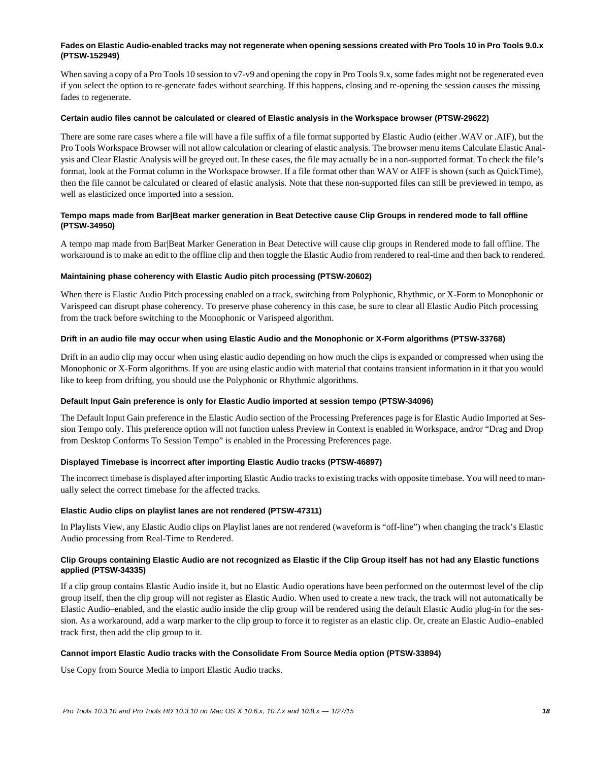#### **Fades on Elastic Audio-enabled tracks may not regenerate when opening sessions created with Pro Tools 10 in Pro Tools 9.0.x (PTSW-152949)**

When saving a copy of a Pro Tools 10 session to v7-v9 and opening the copy in Pro Tools 9.x, some fades might not be regenerated even if you select the option to re-generate fades without searching. If this happens, closing and re-opening the session causes the missing fades to regenerate.

#### **Certain audio files cannot be calculated or cleared of Elastic analysis in the Workspace browser (PTSW-29622)**

There are some rare cases where a file will have a file suffix of a file format supported by Elastic Audio (either .WAV or .AIF), but the Pro Tools Workspace Browser will not allow calculation or clearing of elastic analysis. The browser menu items Calculate Elastic Analysis and Clear Elastic Analysis will be greyed out. In these cases, the file may actually be in a non-supported format. To check the file's format, look at the Format column in the Workspace browser. If a file format other than WAV or AIFF is shown (such as QuickTime), then the file cannot be calculated or cleared of elastic analysis. Note that these non-supported files can still be previewed in tempo, as well as elasticized once imported into a session.

#### **Tempo maps made from Bar|Beat marker generation in Beat Detective cause Clip Groups in rendered mode to fall offline (PTSW-34950)**

A tempo map made from Bar|Beat Marker Generation in Beat Detective will cause clip groups in Rendered mode to fall offline. The workaround is to make an edit to the offline clip and then toggle the Elastic Audio from rendered to real-time and then back to rendered.

#### **Maintaining phase coherency with Elastic Audio pitch processing (PTSW-20602)**

When there is Elastic Audio Pitch processing enabled on a track, switching from Polyphonic, Rhythmic, or X-Form to Monophonic or Varispeed can disrupt phase coherency. To preserve phase coherency in this case, be sure to clear all Elastic Audio Pitch processing from the track before switching to the Monophonic or Varispeed algorithm.

#### **Drift in an audio file may occur when using Elastic Audio and the Monophonic or X-Form algorithms (PTSW-33768)**

Drift in an audio clip may occur when using elastic audio depending on how much the clips is expanded or compressed when using the Monophonic or X-Form algorithms. If you are using elastic audio with material that contains transient information in it that you would like to keep from drifting, you should use the Polyphonic or Rhythmic algorithms.

#### **Default Input Gain preference is only for Elastic Audio imported at session tempo (PTSW-34096)**

The Default Input Gain preference in the Elastic Audio section of the Processing Preferences page is for Elastic Audio Imported at Session Tempo only. This preference option will not function unless Preview in Context is enabled in Workspace, and/or "Drag and Drop from Desktop Conforms To Session Tempo" is enabled in the Processing Preferences page.

#### **Displayed Timebase is incorrect after importing Elastic Audio tracks (PTSW-46897)**

The incorrect timebase is displayed after importing Elastic Audio tracks to existing tracks with opposite timebase. You will need to manually select the correct timebase for the affected tracks.

#### **Elastic Audio clips on playlist lanes are not rendered (PTSW-47311)**

In Playlists View, any Elastic Audio clips on Playlist lanes are not rendered (waveform is "off-line") when changing the track's Elastic Audio processing from Real-Time to Rendered.

#### **Clip Groups containing Elastic Audio are not recognized as Elastic if the Clip Group itself has not had any Elastic functions applied (PTSW-34335)**

If a clip group contains Elastic Audio inside it, but no Elastic Audio operations have been performed on the outermost level of the clip group itself, then the clip group will not register as Elastic Audio. When used to create a new track, the track will not automatically be Elastic Audio–enabled, and the elastic audio inside the clip group will be rendered using the default Elastic Audio plug-in for the session. As a workaround, add a warp marker to the clip group to force it to register as an elastic clip. Or, create an Elastic Audio–enabled track first, then add the clip group to it.

#### **Cannot import Elastic Audio tracks with the Consolidate From Source Media option (PTSW-33894)**

Use Copy from Source Media to import Elastic Audio tracks.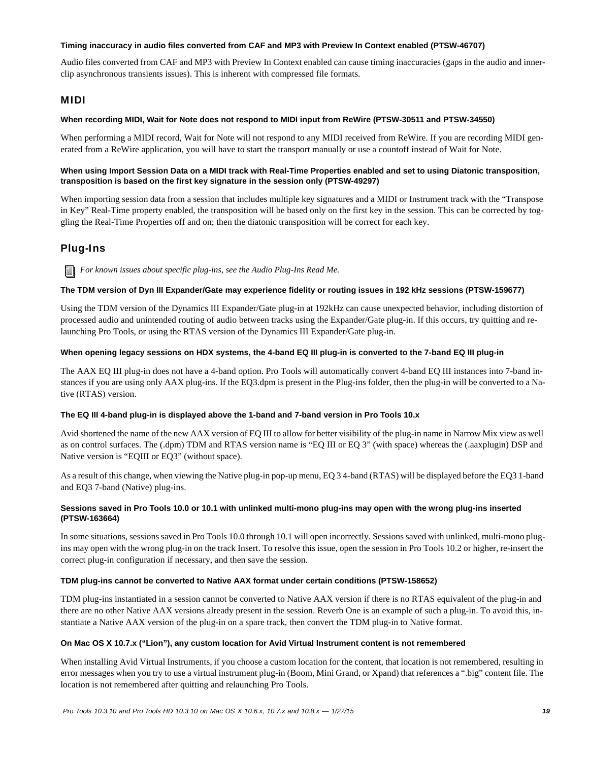#### **Timing inaccuracy in audio files converted from CAF and MP3 with Preview In Context enabled (PTSW-46707)**

Audio files converted from CAF and MP3 with Preview In Context enabled can cause timing inaccuracies (gaps in the audio and innerclip asynchronous transients issues). This is inherent with compressed file formats.

### MIDI

#### **When recording MIDI, Wait for Note does not respond to MIDI input from ReWire (PTSW-30511 and PTSW-34550)**

When performing a MIDI record, Wait for Note will not respond to any MIDI received from ReWire. If you are recording MIDI generated from a ReWire application, you will have to start the transport manually or use a countoff instead of Wait for Note.

#### **When using Import Session Data on a MIDI track with Real-Time Properties enabled and set to using Diatonic transposition, transposition is based on the first key signature in the session only (PTSW-49297)**

When importing session data from a session that includes multiple key signatures and a MIDI or Instrument track with the "Transpose in Key" Real-Time property enabled, the transposition will be based only on the first key in the session. This can be corrected by toggling the Real-Time Properties off and on; then the diatonic transposition will be correct for each key.

# Plug-Ins

*For known issues about specific plug-ins, see the Audio Plug-Ins Read Me.*

#### **The TDM version of Dyn III Expander/Gate may experience fidelity or routing issues in 192 kHz sessions (PTSW-159677)**

Using the TDM version of the Dynamics III Expander/Gate plug-in at 192kHz can cause unexpected behavior, including distortion of processed audio and unintended routing of audio between tracks using the Expander/Gate plug-in. If this occurs, try quitting and relaunching Pro Tools, or using the RTAS version of the Dynamics III Expander/Gate plug-in.

#### **When opening legacy sessions on HDX systems, the 4-band EQ III plug-in is converted to the 7-band EQ III plug-in**

The AAX EQ III plug-in does not have a 4-band option. Pro Tools will automatically convert 4-band EQ III instances into 7-band instances if you are using only AAX plug-ins. If the EQ3.dpm is present in the Plug-ins folder, then the plug-in will be converted to a Native (RTAS) version.

#### **The EQ III 4-band plug-in is displayed above the 1-band and 7-band version in Pro Tools 10.x**

Avid shortened the name of the new AAX version of EQ III to allow for better visibility of the plug-in name in Narrow Mix view as well as on control surfaces. The (.dpm) TDM and RTAS version name is "EQ III or EQ 3" (with space) whereas the (.aaxplugin) DSP and Native version is "EQIII or EQ3" (without space).

As a result of this change, when viewing the Native plug-in pop-up menu, EQ 3 4-band (RTAS) will be displayed before the EQ3 1-band and EQ3 7-band (Native) plug-ins.

#### **Sessions saved in Pro Tools 10.0 or 10.1 with unlinked multi-mono plug-ins may open with the wrong plug-ins inserted (PTSW-163664)**

In some situations, sessions saved in Pro Tools 10.0 through 10.1 will open incorrectly. Sessions saved with unlinked, multi-mono plugins may open with the wrong plug-in on the track Insert. To resolve this issue, open the session in Pro Tools 10.2 or higher, re-insert the correct plug-in configuration if necessary, and then save the session.

#### **TDM plug-ins cannot be converted to Native AAX format under certain conditions (PTSW-158652)**

TDM plug-ins instantiated in a session cannot be converted to Native AAX version if there is no RTAS equivalent of the plug-in and there are no other Native AAX versions already present in the session. Reverb One is an example of such a plug-in. To avoid this, instantiate a Native AAX version of the plug-in on a spare track, then convert the TDM plug-in to Native format.

#### **On Mac OS X 10.7.x ("Lion"), any custom location for Avid Virtual Instrument content is not remembered**

When installing Avid Virtual Instruments, if you choose a custom location for the content, that location is not remembered, resulting in error messages when you try to use a virtual instrument plug-in (Boom, Mini Grand, or Xpand) that references a ".big" content file. The location is not remembered after quitting and relaunching Pro Tools.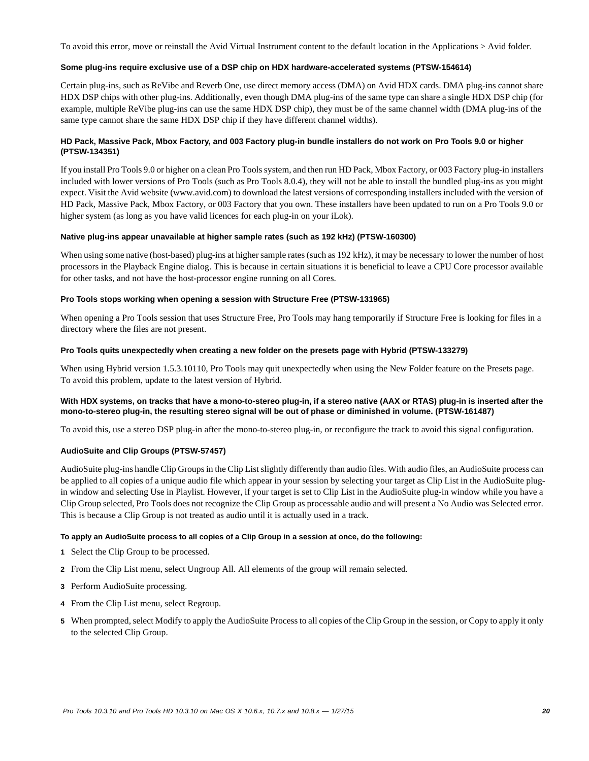To avoid this error, move or reinstall the Avid Virtual Instrument content to the default location in the Applications > Avid folder.

#### **Some plug-ins require exclusive use of a DSP chip on HDX hardware-accelerated systems (PTSW-154614)**

Certain plug-ins, such as ReVibe and Reverb One, use direct memory access (DMA) on Avid HDX cards. DMA plug-ins cannot share HDX DSP chips with other plug-ins. Additionally, even though DMA plug-ins of the same type can share a single HDX DSP chip (for example, multiple ReVibe plug-ins can use the same HDX DSP chip), they must be of the same channel width (DMA plug-ins of the same type cannot share the same HDX DSP chip if they have different channel widths).

#### **HD Pack, Massive Pack, Mbox Factory, and 003 Factory plug-in bundle installers do not work on Pro Tools 9.0 or higher (PTSW-134351)**

If you install Pro Tools 9.0 or higher on a clean Pro Tools system, and then run HD Pack, Mbox Factory, or 003 Factory plug-in installers included with lower versions of Pro Tools (such as Pro Tools 8.0.4), they will not be able to install the bundled plug-ins as you might expect. Visit the Avid website (www.avid.com) to download the latest versions of corresponding installers included with the version of HD Pack, Massive Pack, Mbox Factory, or 003 Factory that you own. These installers have been updated to run on a Pro Tools 9.0 or higher system (as long as you have valid licences for each plug-in on your iLok).

#### **Native plug-ins appear unavailable at higher sample rates (such as 192 kHz) (PTSW-160300)**

When using some native (host-based) plug-ins at higher sample rates (such as 192 kHz), it may be necessary to lower the number of host processors in the Playback Engine dialog. This is because in certain situations it is beneficial to leave a CPU Core processor available for other tasks, and not have the host-processor engine running on all Cores.

#### **Pro Tools stops working when opening a session with Structure Free (PTSW-131965)**

When opening a Pro Tools session that uses Structure Free, Pro Tools may hang temporarily if Structure Free is looking for files in a directory where the files are not present.

#### **Pro Tools quits unexpectedly when creating a new folder on the presets page with Hybrid (PTSW-133279)**

When using Hybrid version 1.5.3.10110, Pro Tools may quit unexpectedly when using the New Folder feature on the Presets page. To avoid this problem, update to the latest version of Hybrid.

#### **With HDX systems, on tracks that have a mono-to-stereo plug-in, if a stereo native (AAX or RTAS) plug-in is inserted after the mono-to-stereo plug-in, the resulting stereo signal will be out of phase or diminished in volume. (PTSW-161487)**

To avoid this, use a stereo DSP plug-in after the mono-to-stereo plug-in, or reconfigure the track to avoid this signal configuration.

#### **AudioSuite and Clip Groups (PTSW-57457)**

AudioSuite plug-ins handle Clip Groups in the Clip List slightly differently than audio files. With audio files, an AudioSuite process can be applied to all copies of a unique audio file which appear in your session by selecting your target as Clip List in the AudioSuite plugin window and selecting Use in Playlist. However, if your target is set to Clip List in the AudioSuite plug-in window while you have a Clip Group selected, Pro Tools does not recognize the Clip Group as processable audio and will present a No Audio was Selected error. This is because a Clip Group is not treated as audio until it is actually used in a track.

#### **To apply an AudioSuite process to all copies of a Clip Group in a session at once, do the following:**

- **1** Select the Clip Group to be processed.
- **2** From the Clip List menu, select Ungroup All. All elements of the group will remain selected.
- **3** Perform AudioSuite processing.
- **4** From the Clip List menu, select Regroup.
- **5** When prompted, select Modify to apply the AudioSuite Process to all copies of the Clip Group in the session, or Copy to apply it only to the selected Clip Group.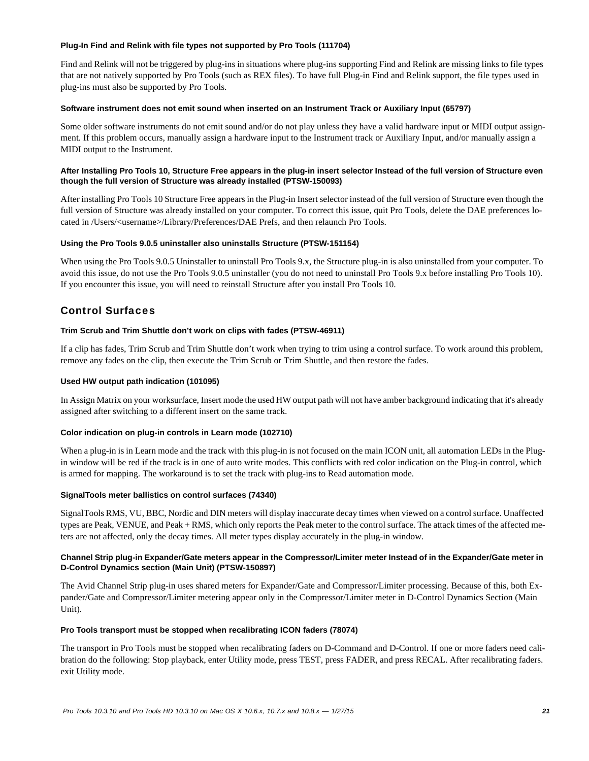#### **Plug-In Find and Relink with file types not supported by Pro Tools (111704)**

Find and Relink will not be triggered by plug-ins in situations where plug-ins supporting Find and Relink are missing links to file types that are not natively supported by Pro Tools (such as REX files). To have full Plug-in Find and Relink support, the file types used in plug-ins must also be supported by Pro Tools.

#### **Software instrument does not emit sound when inserted on an Instrument Track or Auxiliary Input (65797)**

Some older software instruments do not emit sound and/or do not play unless they have a valid hardware input or MIDI output assignment. If this problem occurs, manually assign a hardware input to the Instrument track or Auxiliary Input, and/or manually assign a MIDI output to the Instrument.

#### **After Installing Pro Tools 10, Structure Free appears in the plug-in insert selector Instead of the full version of Structure even though the full version of Structure was already installed (PTSW-150093)**

After installing Pro Tools 10 Structure Free appears in the Plug-in Insert selector instead of the full version of Structure even though the full version of Structure was already installed on your computer. To correct this issue, quit Pro Tools, delete the DAE preferences located in /Users/<username>/Library/Preferences/DAE Prefs, and then relaunch Pro Tools.

#### **Using the Pro Tools 9.0.5 uninstaller also uninstalls Structure (PTSW-151154)**

When using the Pro Tools 9.0.5 Uninstaller to uninstall Pro Tools 9.x, the Structure plug-in is also uninstalled from your computer. To avoid this issue, do not use the Pro Tools 9.0.5 uninstaller (you do not need to uninstall Pro Tools 9.x before installing Pro Tools 10). If you encounter this issue, you will need to reinstall Structure after you install Pro Tools 10.

# Control Surfaces

#### **Trim Scrub and Trim Shuttle don't work on clips with fades (PTSW-46911)**

If a clip has fades, Trim Scrub and Trim Shuttle don't work when trying to trim using a control surface. To work around this problem, remove any fades on the clip, then execute the Trim Scrub or Trim Shuttle, and then restore the fades.

#### **Used HW output path indication (101095)**

In Assign Matrix on your worksurface, Insert mode the used HW output path will not have amber background indicating that it's already assigned after switching to a different insert on the same track.

#### **Color indication on plug-in controls in Learn mode (102710)**

When a plug-in is in Learn mode and the track with this plug-in is not focused on the main ICON unit, all automation LEDs in the Plugin window will be red if the track is in one of auto write modes. This conflicts with red color indication on the Plug-in control, which is armed for mapping. The workaround is to set the track with plug-ins to Read automation mode.

#### **SignalTools meter ballistics on control surfaces (74340)**

SignalTools RMS, VU, BBC, Nordic and DIN meters will display inaccurate decay times when viewed on a control surface. Unaffected types are Peak, VENUE, and Peak + RMS, which only reports the Peak meter to the control surface. The attack times of the affected meters are not affected, only the decay times. All meter types display accurately in the plug-in window.

#### **Channel Strip plug-in Expander/Gate meters appear in the Compressor/Limiter meter Instead of in the Expander/Gate meter in D-Control Dynamics section (Main Unit) (PTSW-150897)**

The Avid Channel Strip plug-in uses shared meters for Expander/Gate and Compressor/Limiter processing. Because of this, both Expander/Gate and Compressor/Limiter metering appear only in the Compressor/Limiter meter in D-Control Dynamics Section (Main Unit).

#### **Pro Tools transport must be stopped when recalibrating ICON faders (78074)**

The transport in Pro Tools must be stopped when recalibrating faders on D-Command and D-Control. If one or more faders need calibration do the following: Stop playback, enter Utility mode, press TEST, press FADER, and press RECAL. After recalibrating faders. exit Utility mode.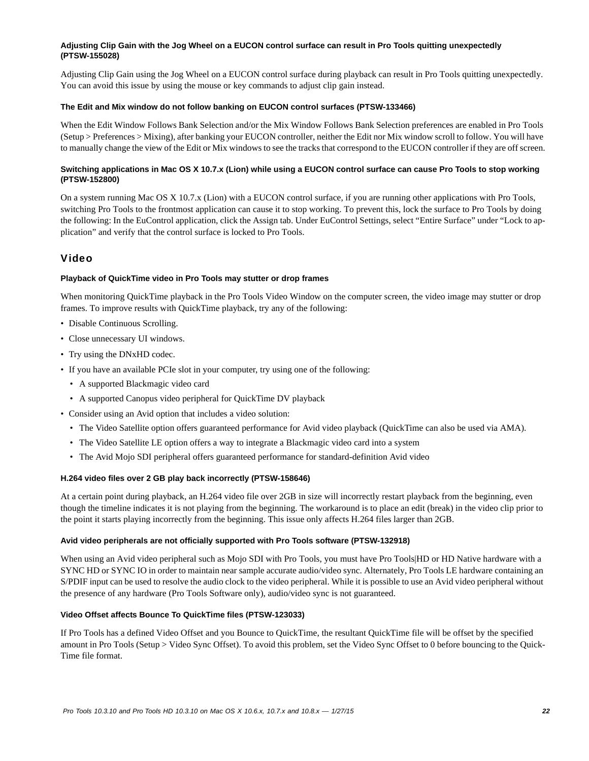#### **Adjusting Clip Gain with the Jog Wheel on a EUCON control surface can result in Pro Tools quitting unexpectedly (PTSW-155028)**

Adjusting Clip Gain using the Jog Wheel on a EUCON control surface during playback can result in Pro Tools quitting unexpectedly. You can avoid this issue by using the mouse or key commands to adjust clip gain instead.

#### **The Edit and Mix window do not follow banking on EUCON control surfaces (PTSW-133466)**

When the Edit Window Follows Bank Selection and/or the Mix Window Follows Bank Selection preferences are enabled in Pro Tools (Setup > Preferences > Mixing), after banking your EUCON controller, neither the Edit nor Mix window scroll to follow. You will have to manually change the view of the Edit or Mix windows to see the tracks that correspond to the EUCON controller if they are off screen.

#### **Switching applications in Mac OS X 10.7.x (Lion) while using a EUCON control surface can cause Pro Tools to stop working (PTSW-152800)**

On a system running Mac OS X 10.7.x (Lion) with a EUCON control surface, if you are running other applications with Pro Tools, switching Pro Tools to the frontmost application can cause it to stop working. To prevent this, lock the surface to Pro Tools by doing the following: In the EuControl application, click the Assign tab. Under EuControl Settings, select "Entire Surface" under "Lock to application" and verify that the control surface is locked to Pro Tools.

### Video

#### **Playback of QuickTime video in Pro Tools may stutter or drop frames**

When monitoring QuickTime playback in the Pro Tools Video Window on the computer screen, the video image may stutter or drop frames. To improve results with QuickTime playback, try any of the following:

- Disable Continuous Scrolling.
- Close unnecessary UI windows.
- Try using the DNxHD codec.
- If you have an available PCIe slot in your computer, try using one of the following:
	- A supported Blackmagic video card
	- A supported Canopus video peripheral for QuickTime DV playback
- Consider using an Avid option that includes a video solution:
	- The Video Satellite option offers guaranteed performance for Avid video playback (QuickTime can also be used via AMA).
	- The Video Satellite LE option offers a way to integrate a Blackmagic video card into a system
	- The Avid Mojo SDI peripheral offers guaranteed performance for standard-definition Avid video

#### **H.264 video files over 2 GB play back incorrectly (PTSW-158646)**

At a certain point during playback, an H.264 video file over 2GB in size will incorrectly restart playback from the beginning, even though the timeline indicates it is not playing from the beginning. The workaround is to place an edit (break) in the video clip prior to the point it starts playing incorrectly from the beginning. This issue only affects H.264 files larger than 2GB.

#### **Avid video peripherals are not officially supported with Pro Tools software (PTSW-132918)**

When using an Avid video peripheral such as Mojo SDI with Pro Tools, you must have Pro Tools|HD or HD Native hardware with a SYNC HD or SYNC IO in order to maintain near sample accurate audio/video sync. Alternately, Pro Tools LE hardware containing an S/PDIF input can be used to resolve the audio clock to the video peripheral. While it is possible to use an Avid video peripheral without the presence of any hardware (Pro Tools Software only), audio/video sync is not guaranteed.

#### **Video Offset affects Bounce To QuickTime files (PTSW-123033)**

If Pro Tools has a defined Video Offset and you Bounce to QuickTime, the resultant QuickTime file will be offset by the specified amount in Pro Tools (Setup > Video Sync Offset). To avoid this problem, set the Video Sync Offset to 0 before bouncing to the Quick-Time file format.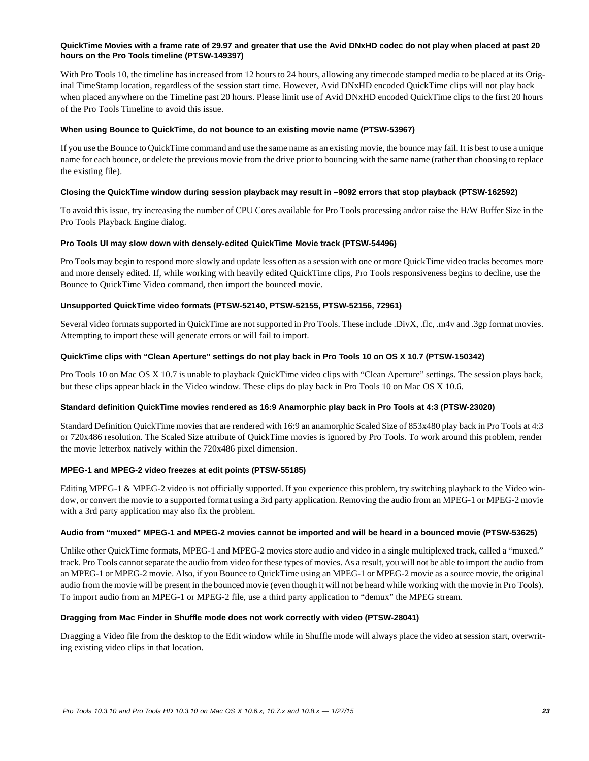#### **QuickTime Movies with a frame rate of 29.97 and greater that use the Avid DNxHD codec do not play when placed at past 20 hours on the Pro Tools timeline (PTSW-149397)**

With Pro Tools 10, the timeline has increased from 12 hours to 24 hours, allowing any timecode stamped media to be placed at its Original TimeStamp location, regardless of the session start time. However, Avid DNxHD encoded QuickTime clips will not play back when placed anywhere on the Timeline past 20 hours. Please limit use of Avid DNxHD encoded QuickTime clips to the first 20 hours of the Pro Tools Timeline to avoid this issue.

#### **When using Bounce to QuickTime, do not bounce to an existing movie name (PTSW-53967)**

If you use the Bounce to QuickTime command and use the same name as an existing movie, the bounce may fail. It is best to use a unique name for each bounce, or delete the previous movie from the drive prior to bouncing with the same name (rather than choosing to replace the existing file).

#### **Closing the QuickTime window during session playback may result in –9092 errors that stop playback (PTSW-162592)**

To avoid this issue, try increasing the number of CPU Cores available for Pro Tools processing and/or raise the H/W Buffer Size in the Pro Tools Playback Engine dialog.

#### **Pro Tools UI may slow down with densely-edited QuickTime Movie track (PTSW-54496)**

Pro Tools may begin to respond more slowly and update less often as a session with one or more QuickTime video tracks becomes more and more densely edited. If, while working with heavily edited QuickTime clips, Pro Tools responsiveness begins to decline, use the Bounce to QuickTime Video command, then import the bounced movie.

#### **Unsupported QuickTime video formats (PTSW-52140, PTSW-52155, PTSW-52156, 72961)**

Several video formats supported in QuickTime are not supported in Pro Tools. These include .DivX, .flc, .m4v and .3gp format movies. Attempting to import these will generate errors or will fail to import.

#### **QuickTime clips with "Clean Aperture" settings do not play back in Pro Tools 10 on OS X 10.7 (PTSW-150342)**

Pro Tools 10 on Mac OS X 10.7 is unable to playback QuickTime video clips with "Clean Aperture" settings. The session plays back, but these clips appear black in the Video window. These clips do play back in Pro Tools 10 on Mac OS X 10.6.

#### **Standard definition QuickTime movies rendered as 16:9 Anamorphic play back in Pro Tools at 4:3 (PTSW-23020)**

Standard Definition QuickTime movies that are rendered with 16:9 an anamorphic Scaled Size of 853x480 play back in Pro Tools at 4:3 or 720x486 resolution. The Scaled Size attribute of QuickTime movies is ignored by Pro Tools. To work around this problem, render the movie letterbox natively within the 720x486 pixel dimension.

#### **MPEG-1 and MPEG-2 video freezes at edit points (PTSW-55185)**

Editing MPEG-1 & MPEG-2 video is not officially supported. If you experience this problem, try switching playback to the Video window, or convert the movie to a supported format using a 3rd party application. Removing the audio from an MPEG-1 or MPEG-2 movie with a 3rd party application may also fix the problem.

#### **Audio from "muxed" MPEG-1 and MPEG-2 movies cannot be imported and will be heard in a bounced movie (PTSW-53625)**

Unlike other QuickTime formats, MPEG-1 and MPEG-2 movies store audio and video in a single multiplexed track, called a "muxed." track. Pro Tools cannot separate the audio from video for these types of movies. As a result, you will not be able to import the audio from an MPEG-1 or MPEG-2 movie. Also, if you Bounce to QuickTime using an MPEG-1 or MPEG-2 movie as a source movie, the original audio from the movie will be present in the bounced movie (even though it will not be heard while working with the movie in Pro Tools). To import audio from an MPEG-1 or MPEG-2 file, use a third party application to "demux" the MPEG stream.

#### **Dragging from Mac Finder in Shuffle mode does not work correctly with video (PTSW-28041)**

Dragging a Video file from the desktop to the Edit window while in Shuffle mode will always place the video at session start, overwriting existing video clips in that location.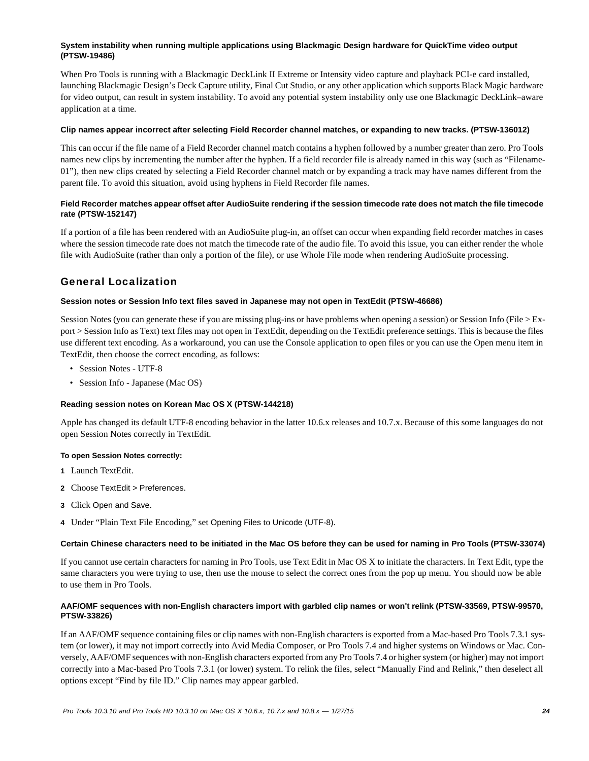#### **System instability when running multiple applications using Blackmagic Design hardware for QuickTime video output (PTSW-19486)**

When Pro Tools is running with a Blackmagic DeckLink II Extreme or Intensity video capture and playback PCI-e card installed, launching Blackmagic Design's Deck Capture utility, Final Cut Studio, or any other application which supports Black Magic hardware for video output, can result in system instability. To avoid any potential system instability only use one Blackmagic DeckLink–aware application at a time.

#### **Clip names appear incorrect after selecting Field Recorder channel matches, or expanding to new tracks. (PTSW-136012)**

This can occur if the file name of a Field Recorder channel match contains a hyphen followed by a number greater than zero. Pro Tools names new clips by incrementing the number after the hyphen. If a field recorder file is already named in this way (such as "Filename-01"), then new clips created by selecting a Field Recorder channel match or by expanding a track may have names different from the parent file. To avoid this situation, avoid using hyphens in Field Recorder file names.

#### **Field Recorder matches appear offset after AudioSuite rendering if the session timecode rate does not match the file timecode rate (PTSW-152147)**

If a portion of a file has been rendered with an AudioSuite plug-in, an offset can occur when expanding field recorder matches in cases where the session timecode rate does not match the timecode rate of the audio file. To avoid this issue, you can either render the whole file with AudioSuite (rather than only a portion of the file), or use Whole File mode when rendering AudioSuite processing.

# General Localization

#### **Session notes or Session Info text files saved in Japanese may not open in TextEdit (PTSW-46686)**

Session Notes (you can generate these if you are missing plug-ins or have problems when opening a session) or Session Info (File > Export > Session Info as Text) text files may not open in TextEdit, depending on the TextEdit preference settings. This is because the files use different text encoding. As a workaround, you can use the Console application to open files or you can use the Open menu item in TextEdit, then choose the correct encoding, as follows:

- Session Notes UTF-8
- Session Info Japanese (Mac OS)

#### **Reading session notes on Korean Mac OS X (PTSW-144218)**

Apple has changed its default UTF-8 encoding behavior in the latter 10.6.x releases and 10.7.x. Because of this some languages do not open Session Notes correctly in TextEdit.

#### **To open Session Notes correctly:**

- **1** Launch TextEdit.
- **2** Choose TextEdit > Preferences.
- **3** Click Open and Save.
- **4** Under "Plain Text File Encoding," set Opening Files to Unicode (UTF-8).

#### **Certain Chinese characters need to be initiated in the Mac OS before they can be used for naming in Pro Tools (PTSW-33074)**

If you cannot use certain characters for naming in Pro Tools, use Text Edit in Mac OS X to initiate the characters. In Text Edit, type the same characters you were trying to use, then use the mouse to select the correct ones from the pop up menu. You should now be able to use them in Pro Tools.

#### **AAF/OMF sequences with non-English characters import with garbled clip names or won't relink (PTSW-33569, PTSW-99570, PTSW-33826)**

If an AAF/OMF sequence containing files or clip names with non-English characters is exported from a Mac-based Pro Tools 7.3.1 system (or lower), it may not import correctly into Avid Media Composer, or Pro Tools 7.4 and higher systems on Windows or Mac. Conversely, AAF/OMF sequences with non-English characters exported from any Pro Tools 7.4 or higher system (or higher) may not import correctly into a Mac-based Pro Tools 7.3.1 (or lower) system. To relink the files, select "Manually Find and Relink," then deselect all options except "Find by file ID." Clip names may appear garbled.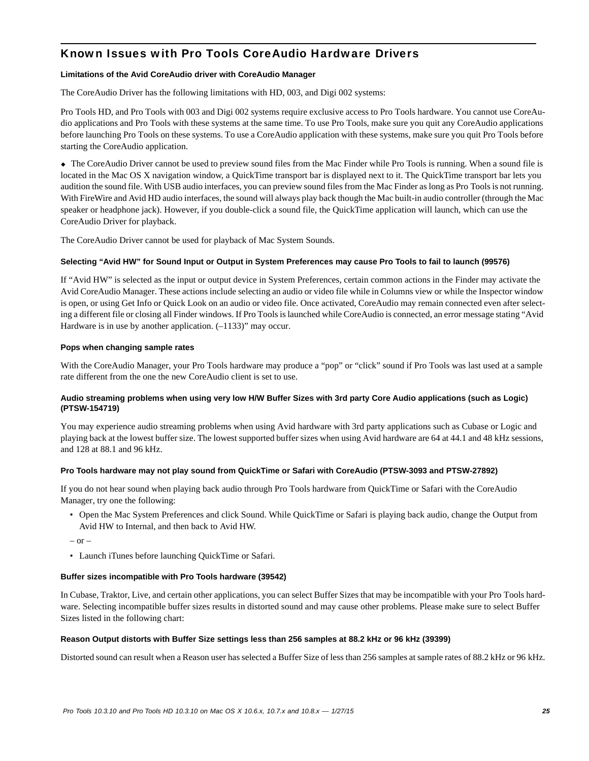# Known Issues with Pro Tools CoreAudio Hardware Drivers

#### **Limitations of the Avid CoreAudio driver with CoreAudio Manager**

The CoreAudio Driver has the following limitations with HD, 003, and Digi 002 systems:

Pro Tools HD, and Pro Tools with 003 and Digi 002 systems require exclusive access to Pro Tools hardware. You cannot use CoreAudio applications and Pro Tools with these systems at the same time. To use Pro Tools, make sure you quit any CoreAudio applications before launching Pro Tools on these systems. To use a CoreAudio application with these systems, make sure you quit Pro Tools before starting the CoreAudio application.

 The CoreAudio Driver cannot be used to preview sound files from the Mac Finder while Pro Tools is running. When a sound file is located in the Mac OS X navigation window, a QuickTime transport bar is displayed next to it. The QuickTime transport bar lets you audition the sound file. With USB audio interfaces, you can preview sound files from the Mac Finder as long as Pro Tools is not running. With FireWire and Avid HD audio interfaces, the sound will always play back though the Mac built-in audio controller (through the Mac speaker or headphone jack). However, if you double-click a sound file, the QuickTime application will launch, which can use the CoreAudio Driver for playback.

The CoreAudio Driver cannot be used for playback of Mac System Sounds.

#### **Selecting "Avid HW" for Sound Input or Output in System Preferences may cause Pro Tools to fail to launch (99576)**

If "Avid HW" is selected as the input or output device in System Preferences, certain common actions in the Finder may activate the Avid CoreAudio Manager. These actions include selecting an audio or video file while in Columns view or while the Inspector window is open, or using Get Info or Quick Look on an audio or video file. Once activated, CoreAudio may remain connected even after selecting a different file or closing all Finder windows. If Pro Tools is launched while CoreAudio is connected, an error message stating "Avid Hardware is in use by another application.  $(-1133)$ " may occur.

#### **Pops when changing sample rates**

With the CoreAudio Manager, your Pro Tools hardware may produce a "pop" or "click" sound if Pro Tools was last used at a sample rate different from the one the new CoreAudio client is set to use.

#### **Audio streaming problems when using very low H/W Buffer Sizes with 3rd party Core Audio applications (such as Logic) (PTSW-154719)**

You may experience audio streaming problems when using Avid hardware with 3rd party applications such as Cubase or Logic and playing back at the lowest buffer size. The lowest supported buffer sizes when using Avid hardware are 64 at 44.1 and 48 kHz sessions, and 128 at 88.1 and 96 kHz.

#### **Pro Tools hardware may not play sound from QuickTime or Safari with CoreAudio (PTSW-3093 and PTSW-27892)**

If you do not hear sound when playing back audio through Pro Tools hardware from QuickTime or Safari with the CoreAudio Manager, try one the following:

- Open the Mac System Preferences and click Sound. While QuickTime or Safari is playing back audio, change the Output from Avid HW to Internal, and then back to Avid HW.
- $-$  or  $-$
- Launch iTunes before launching QuickTime or Safari.

#### **Buffer sizes incompatible with Pro Tools hardware (39542)**

In Cubase, Traktor, Live, and certain other applications, you can select Buffer Sizes that may be incompatible with your Pro Tools hardware. Selecting incompatible buffer sizes results in distorted sound and may cause other problems. Please make sure to select Buffer Sizes listed in the following chart:

#### **Reason Output distorts with Buffer Size settings less than 256 samples at 88.2 kHz or 96 kHz (39399)**

Distorted sound can result when a Reason user has selected a Buffer Size of less than 256 samples at sample rates of 88.2 kHz or 96 kHz.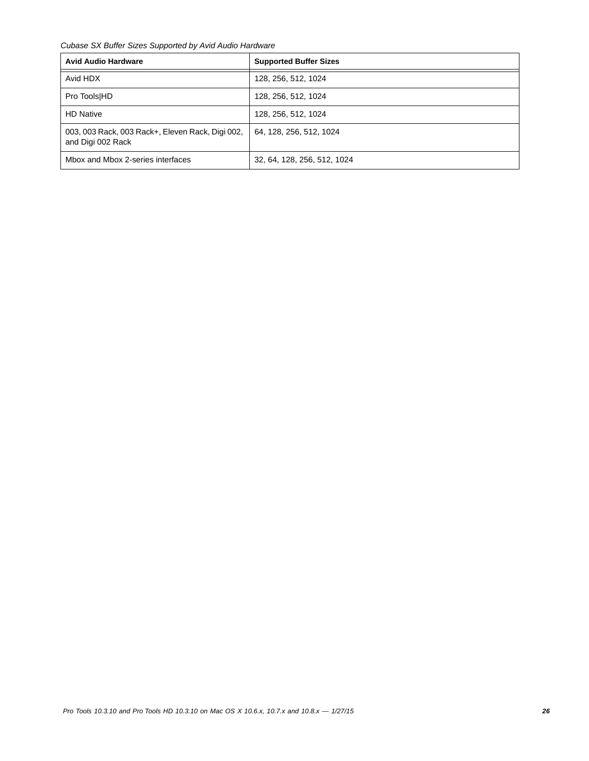*Cubase SX Buffer Sizes Supported by Avid Audio Hardware*

| <b>Avid Audio Hardware</b>                                            | <b>Supported Buffer Sizes</b> |
|-----------------------------------------------------------------------|-------------------------------|
| Avid HDX                                                              | 128, 256, 512, 1024           |
| Pro Tools HD                                                          | 128, 256, 512, 1024           |
| <b>HD Native</b>                                                      | 128, 256, 512, 1024           |
| 003, 003 Rack, 003 Rack+, Eleven Rack, Digi 002,<br>and Digi 002 Rack | 64, 128, 256, 512, 1024       |
| Mbox and Mbox 2-series interfaces                                     | 32, 64, 128, 256, 512, 1024   |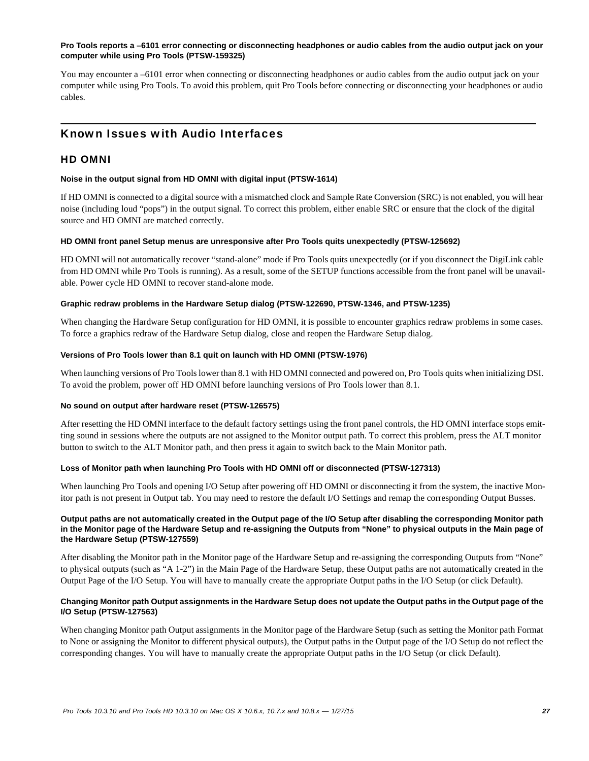#### **Pro Tools reports a –6101 error connecting or disconnecting headphones or audio cables from the audio output jack on your computer while using Pro Tools (PTSW-159325)**

You may encounter a –6101 error when connecting or disconnecting headphones or audio cables from the audio output jack on your computer while using Pro Tools. To avoid this problem, quit Pro Tools before connecting or disconnecting your headphones or audio cables.

# Known Issues with Audio Interfaces

### HD OMNI

#### **Noise in the output signal from HD OMNI with digital input (PTSW-1614)**

If HD OMNI is connected to a digital source with a mismatched clock and Sample Rate Conversion (SRC) is not enabled, you will hear noise (including loud "pops") in the output signal. To correct this problem, either enable SRC or ensure that the clock of the digital source and HD OMNI are matched correctly.

#### **HD OMNI front panel Setup menus are unresponsive after Pro Tools quits unexpectedly (PTSW-125692)**

HD OMNI will not automatically recover "stand-alone" mode if Pro Tools quits unexpectedly (or if you disconnect the DigiLink cable from HD OMNI while Pro Tools is running). As a result, some of the SETUP functions accessible from the front panel will be unavailable. Power cycle HD OMNI to recover stand-alone mode.

#### **Graphic redraw problems in the Hardware Setup dialog (PTSW-122690, PTSW-1346, and PTSW-1235)**

When changing the Hardware Setup configuration for HD OMNI, it is possible to encounter graphics redraw problems in some cases. To force a graphics redraw of the Hardware Setup dialog, close and reopen the Hardware Setup dialog.

#### **Versions of Pro Tools lower than 8.1 quit on launch with HD OMNI (PTSW-1976)**

When launching versions of Pro Tools lower than 8.1 with HD OMNI connected and powered on, Pro Tools quits when initializing DSI. To avoid the problem, power off HD OMNI before launching versions of Pro Tools lower than 8.1.

#### **No sound on output after hardware reset (PTSW-126575)**

After resetting the HD OMNI interface to the default factory settings using the front panel controls, the HD OMNI interface stops emitting sound in sessions where the outputs are not assigned to the Monitor output path. To correct this problem, press the ALT monitor button to switch to the ALT Monitor path, and then press it again to switch back to the Main Monitor path.

#### **Loss of Monitor path when launching Pro Tools with HD OMNI off or disconnected (PTSW-127313)**

When launching Pro Tools and opening I/O Setup after powering off HD OMNI or disconnecting it from the system, the inactive Monitor path is not present in Output tab. You may need to restore the default I/O Settings and remap the corresponding Output Busses.

#### **Output paths are not automatically created in the Output page of the I/O Setup after disabling the corresponding Monitor path in the Monitor page of the Hardware Setup and re-assigning the Outputs from "None" to physical outputs in the Main page of the Hardware Setup (PTSW-127559)**

After disabling the Monitor path in the Monitor page of the Hardware Setup and re-assigning the corresponding Outputs from "None" to physical outputs (such as "A 1-2") in the Main Page of the Hardware Setup, these Output paths are not automatically created in the Output Page of the I/O Setup. You will have to manually create the appropriate Output paths in the I/O Setup (or click Default).

#### **Changing Monitor path Output assignments in the Hardware Setup does not update the Output paths in the Output page of the I/O Setup (PTSW-127563)**

When changing Monitor path Output assignments in the Monitor page of the Hardware Setup (such as setting the Monitor path Format to None or assigning the Monitor to different physical outputs), the Output paths in the Output page of the I/O Setup do not reflect the corresponding changes. You will have to manually create the appropriate Output paths in the I/O Setup (or click Default).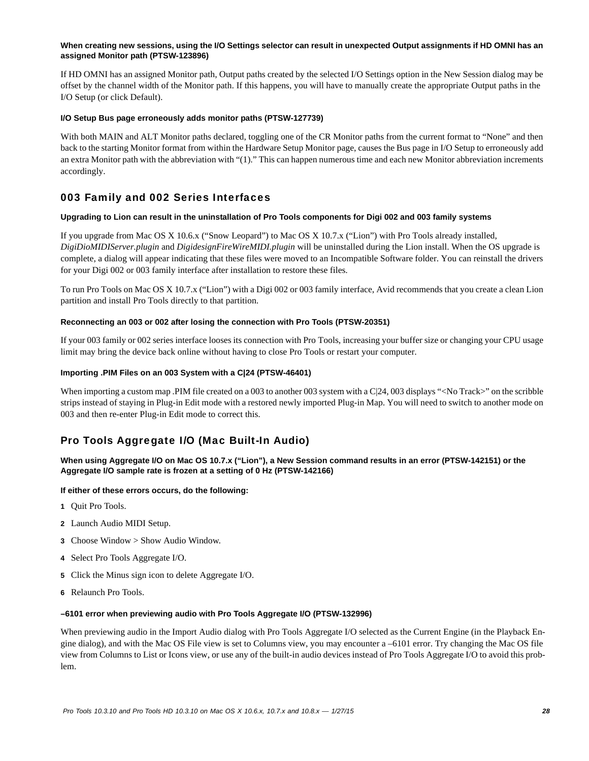#### **When creating new sessions, using the I/O Settings selector can result in unexpected Output assignments if HD OMNI has an assigned Monitor path (PTSW-123896)**

If HD OMNI has an assigned Monitor path, Output paths created by the selected I/O Settings option in the New Session dialog may be offset by the channel width of the Monitor path. If this happens, you will have to manually create the appropriate Output paths in the I/O Setup (or click Default).

#### **I/O Setup Bus page erroneously adds monitor paths (PTSW-127739)**

With both MAIN and ALT Monitor paths declared, toggling one of the CR Monitor paths from the current format to "None" and then back to the starting Monitor format from within the Hardware Setup Monitor page, causes the Bus page in I/O Setup to erroneously add an extra Monitor path with the abbreviation with "(1)." This can happen numerous time and each new Monitor abbreviation increments accordingly.

# 003 Family and 002 Series Interfaces

#### **Upgrading to Lion can result in the uninstallation of Pro Tools components for Digi 002 and 003 family systems**

If you upgrade from Mac OS X 10.6.x ("Snow Leopard") to Mac OS X 10.7.x ("Lion") with Pro Tools already installed, *DigiDioMIDIServer.plugin* and *DigidesignFireWireMIDI.plugin* will be uninstalled during the Lion install. When the OS upgrade is complete, a dialog will appear indicating that these files were moved to an Incompatible Software folder. You can reinstall the drivers for your Digi 002 or 003 family interface after installation to restore these files.

To run Pro Tools on Mac OS X 10.7.x ("Lion") with a Digi 002 or 003 family interface, Avid recommends that you create a clean Lion partition and install Pro Tools directly to that partition.

#### **Reconnecting an 003 or 002 after losing the connection with Pro Tools (PTSW-20351)**

If your 003 family or 002 series interface looses its connection with Pro Tools, increasing your buffer size or changing your CPU usage limit may bring the device back online without having to close Pro Tools or restart your computer.

#### **Importing .PIM Files on an 003 System with a C|24 (PTSW-46401)**

When importing a custom map .PIM file created on a 003 to another 003 system with a C|24, 003 displays "<No Track>" on the scribble strips instead of staying in Plug-in Edit mode with a restored newly imported Plug-in Map. You will need to switch to another mode on 003 and then re-enter Plug-in Edit mode to correct this.

# Pro Tools Aggregate I/O (Mac Built-In Audio)

**When using Aggregate I/O on Mac OS 10.7.x ("Lion"), a New Session command results in an error (PTSW-142151) or the Aggregate I/O sample rate is frozen at a setting of 0 Hz (PTSW-142166)**

#### **If either of these errors occurs, do the following:**

- **1** Quit Pro Tools.
- **2** Launch Audio MIDI Setup.
- **3** Choose Window > Show Audio Window.
- **4** Select Pro Tools Aggregate I/O.
- **5** Click the Minus sign icon to delete Aggregate I/O.
- **6** Relaunch Pro Tools.

#### **–6101 error when previewing audio with Pro Tools Aggregate I/O (PTSW-132996)**

When previewing audio in the Import Audio dialog with Pro Tools Aggregate I/O selected as the Current Engine (in the Playback Engine dialog), and with the Mac OS File view is set to Columns view, you may encounter a –6101 error. Try changing the Mac OS file view from Columns to List or Icons view, or use any of the built-in audio devices instead of Pro Tools Aggregate I/O to avoid this problem.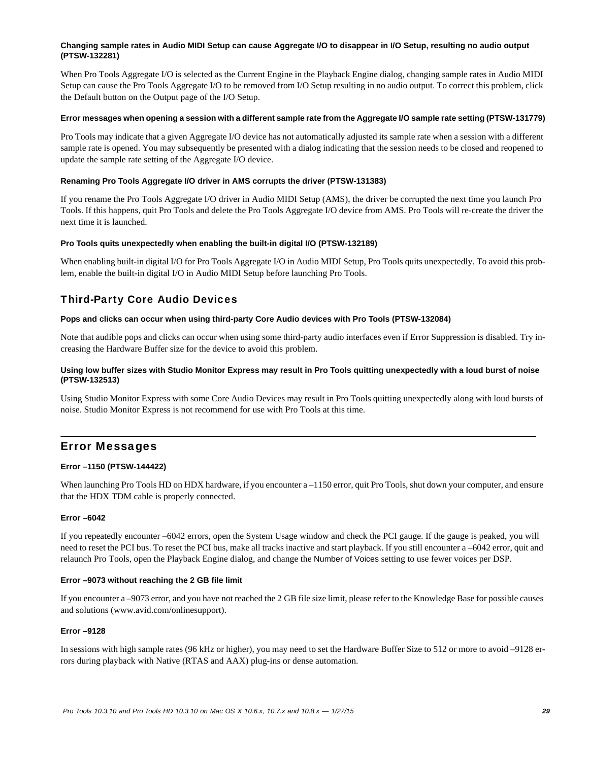#### **Changing sample rates in Audio MIDI Setup can cause Aggregate I/O to disappear in I/O Setup, resulting no audio output (PTSW-132281)**

When Pro Tools Aggregate I/O is selected as the Current Engine in the Playback Engine dialog, changing sample rates in Audio MIDI Setup can cause the Pro Tools Aggregate I/O to be removed from I/O Setup resulting in no audio output. To correct this problem, click the Default button on the Output page of the I/O Setup.

#### **Error messages when opening a session with a different sample rate from the Aggregate I/O sample rate setting (PTSW-131779)**

Pro Tools may indicate that a given Aggregate I/O device has not automatically adjusted its sample rate when a session with a different sample rate is opened. You may subsequently be presented with a dialog indicating that the session needs to be closed and reopened to update the sample rate setting of the Aggregate I/O device.

#### **Renaming Pro Tools Aggregate I/O driver in AMS corrupts the driver (PTSW-131383)**

If you rename the Pro Tools Aggregate I/O driver in Audio MIDI Setup (AMS), the driver be corrupted the next time you launch Pro Tools. If this happens, quit Pro Tools and delete the Pro Tools Aggregate I/O device from AMS. Pro Tools will re-create the driver the next time it is launched.

#### **Pro Tools quits unexpectedly when enabling the built-in digital I/O (PTSW-132189)**

When enabling built-in digital I/O for Pro Tools Aggregate I/O in Audio MIDI Setup, Pro Tools quits unexpectedly. To avoid this problem, enable the built-in digital I/O in Audio MIDI Setup before launching Pro Tools.

# Third-Party Core Audio Devices

#### **Pops and clicks can occur when using third-party Core Audio devices with Pro Tools (PTSW-132084)**

Note that audible pops and clicks can occur when using some third-party audio interfaces even if Error Suppression is disabled. Try increasing the Hardware Buffer size for the device to avoid this problem.

#### **Using low buffer sizes with Studio Monitor Express may result in Pro Tools quitting unexpectedly with a loud burst of noise (PTSW-132513)**

Using Studio Monitor Express with some Core Audio Devices may result in Pro Tools quitting unexpectedly along with loud bursts of noise. Studio Monitor Express is not recommend for use with Pro Tools at this time.

# Error Messages

#### **Error –1150 (PTSW-144422)**

When launching Pro Tools HD on HDX hardware, if you encounter a –1150 error, quit Pro Tools, shut down your computer, and ensure that the HDX TDM cable is properly connected.

#### **Error –6042**

If you repeatedly encounter –6042 errors, open the System Usage window and check the PCI gauge. If the gauge is peaked, you will need to reset the PCI bus. To reset the PCI bus, make all tracks inactive and start playback. If you still encounter a –6042 error, quit and relaunch Pro Tools, open the Playback Engine dialog, and change the Number of Voices setting to use fewer voices per DSP.

#### **Error –9073 without reaching the 2 GB file limit**

If you encounter a –9073 error, and you have not reached the 2 GB file size limit, please refer to the Knowledge Base for possible causes and solutions (www.avid.com/onlinesupport).

#### **Error –9128**

In sessions with high sample rates (96 kHz or higher), you may need to set the Hardware Buffer Size to 512 or more to avoid –9128 errors during playback with Native (RTAS and AAX) plug-ins or dense automation.